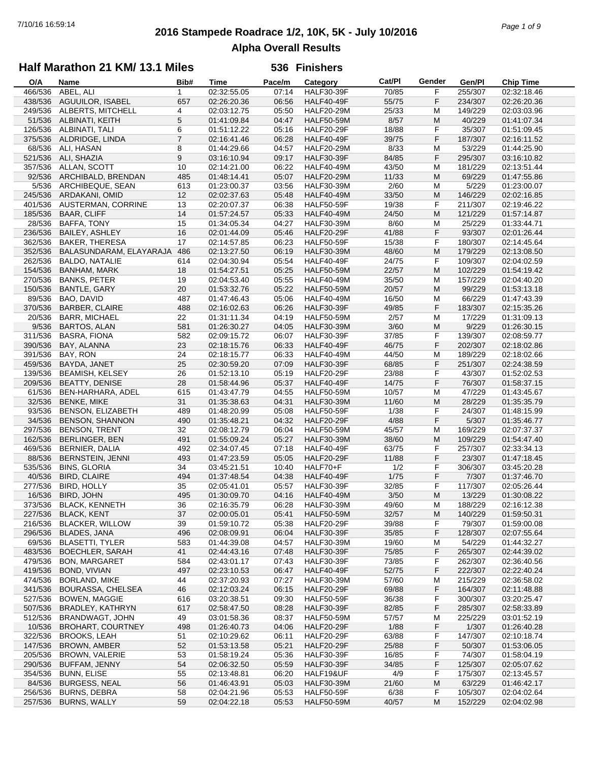# **2016 Stampede Roadrace 1/2, 10K, 5K - July 10/2016** 7/10/16 16:59:14 *Page 1 of 9* **Alpha Overall Results**

### **Half Marathon 21 KM/ 13.1 Miles**

| O/A     | Name                      | Bib#           | <b>Time</b> | Pace/m | Category          | Cat/PI | Gender | Gen/Pl  | <b>Chip Time</b> |
|---------|---------------------------|----------------|-------------|--------|-------------------|--------|--------|---------|------------------|
| 466/536 | ABEL, ALI                 | $\mathbf{1}$   | 02:32:55.05 | 07:14  | <b>HALF30-39F</b> | 70/85  | F      | 255/307 | 02:32:18.46      |
| 438/536 | AGUUILOR, ISABEL          | 657            | 02:26:20.36 | 06:56  | <b>HALF40-49F</b> | 55/75  | F      | 234/307 | 02:26:20.36      |
| 249/536 | ALBERTS, MITCHELL         | 4              | 02:03:12.75 | 05:50  | <b>HALF20-29M</b> | 25/33  | M      | 149/229 | 02:03:03.96      |
| 51/536  | ALBINATI, KEITH           | 5              | 01:41:09.84 | 04:47  | <b>HALF50-59M</b> | 8/57   | M      | 40/229  | 01:41:07.34      |
| 126/536 | ALBINATI, TALI            | 6              | 01:51:12.22 | 05:16  | <b>HALF20-29F</b> | 18/88  | F      | 35/307  | 01:51:09.45      |
| 375/536 | ALDRIDGE, LINDA           | $\overline{7}$ | 02:16:41.46 | 06:28  | <b>HALF40-49F</b> | 39/75  | F      | 187/307 | 02:16:11.52      |
|         |                           |                |             |        |                   |        |        |         |                  |
| 68/536  | ALI, HASAN                | 8              | 01:44:29.66 | 04:57  | <b>HALF20-29M</b> | 8/33   | M      | 53/229  | 01:44:25.90      |
| 521/536 | ALI, SHAZIA               | 9              | 03:16:10.94 | 09:17  | <b>HALF30-39F</b> | 84/85  | F      | 295/307 | 03:16:10.82      |
| 357/536 | ALLAN, SCOTT              | 10             | 02:14:21.00 | 06:22  | <b>HALF40-49M</b> | 43/50  | М      | 181/229 | 02:13:51.44      |
| 92/536  | ARCHIBALD, BRENDAN        | 485            | 01:48:14.41 | 05:07  | <b>HALF20-29M</b> | 11/33  | M      | 69/229  | 01:47:55.86      |
| 5/536   | ARCHIBEQUE, SEAN          | 613            | 01:23:00.37 | 03:56  | <b>HALF30-39M</b> | 2/60   | M      | 5/229   | 01:23:00.07      |
| 245/536 | ARDAKANI, OMID            | 12             | 02:02:37.63 | 05:48  | <b>HALF40-49M</b> | 33/50  | M      | 146/229 | 02:02:16.85      |
| 401/536 | <b>AUSTERMAN, CORRINE</b> | 13             | 02:20:07.37 | 06:38  | <b>HALF50-59F</b> | 19/38  | F      | 211/307 | 02:19:46.22      |
| 185/536 | <b>BAAR, CLIFF</b>        | 14             | 01:57:24.57 | 05:33  | <b>HALF40-49M</b> | 24/50  | M      | 121/229 | 01:57:14.87      |
| 28/536  | BAFFA, TONY               | 15             | 01:34:05.34 | 04:27  | <b>HALF30-39M</b> | 8/60   | M      | 25/229  | 01:33:44.71      |
| 236/536 | <b>BAILEY, ASHLEY</b>     | 16             | 02:01:44.09 | 05:46  | <b>HALF20-29F</b> | 41/88  | F      | 93/307  | 02:01:26.44      |
| 362/536 | <b>BAKER, THERESA</b>     | 17             | 02:14:57.85 | 06:23  | <b>HALF50-59F</b> | 15/38  | F      | 180/307 | 02:14:45.64      |
|         |                           |                |             |        |                   |        |        |         |                  |
| 352/536 | BALASUNDARAM, ELAYARAJA   | 486            | 02:13:27.50 | 06:19  | <b>HALF30-39M</b> | 48/60  | M      | 179/229 | 02:13:08.50      |
| 262/536 | <b>BALDO, NATALIE</b>     | 614            | 02:04:30.94 | 05:54  | <b>HALF40-49F</b> | 24/75  | F      | 109/307 | 02:04:02.59      |
| 154/536 | BANHAM, MARK              | 18             | 01:54:27.51 | 05:25  | <b>HALF50-59M</b> | 22/57  | M      | 102/229 | 01:54:19.42      |
| 270/536 | <b>BANKS, PETER</b>       | 19             | 02:04:53.40 | 05:55  | <b>HALF40-49M</b> | 35/50  | M      | 157/229 | 02:04:40.20      |
| 150/536 | BANTLE, GARY              | 20             | 01:53:32.76 | 05:22  | <b>HALF50-59M</b> | 20/57  | M      | 99/229  | 01:53:13.18      |
| 89/536  | BAO, DAVID                | 487            | 01:47:46.43 | 05:06  | <b>HALF40-49M</b> | 16/50  | M      | 66/229  | 01:47:43.39      |
| 370/536 | <b>BARBER, CLAIRE</b>     | 488            | 02:16:02.63 | 06:26  | <b>HALF30-39F</b> | 49/85  | F      | 183/307 | 02:15:35.26      |
| 20/536  | <b>BARR, MICHAEL</b>      | 22             | 01:31:11.34 | 04:19  | <b>HALF50-59M</b> | 2/57   | М      | 17/229  | 01:31:09.13      |
| 9/536   | <b>BARTOS, ALAN</b>       | 581            | 01:26:30.27 | 04:05  | <b>HALF30-39M</b> | 3/60   | M      | 9/229   | 01:26:30.15      |
| 311/536 | <b>BASRA, FIONA</b>       | 582            | 02:09:15.72 | 06:07  | <b>HALF30-39F</b> | 37/85  | F      | 139/307 | 02:08:59.77      |
|         |                           |                |             |        |                   |        |        |         |                  |
| 390/536 | BAY, ALANNA               | 23             | 02:18:15.76 | 06:33  | <b>HALF40-49F</b> | 46/75  | F      | 202/307 | 02:18:02.86      |
| 391/536 | BAY, RON                  | 24             | 02:18:15.77 | 06:33  | <b>HALF40-49M</b> | 44/50  | M      | 189/229 | 02:18:02.66      |
| 459/536 | BAYDA, JANET              | 25             | 02:30:59.20 | 07:09  | <b>HALF30-39F</b> | 68/85  | F      | 251/307 | 02:24:38.59      |
| 139/536 | <b>BEAMISH, KELSEY</b>    | 26             | 01:52:13.10 | 05:19  | <b>HALF20-29F</b> | 23/88  | F      | 43/307  | 01:52:02.53      |
| 209/536 | <b>BEATTY, DENISE</b>     | 28             | 01:58:44.96 | 05:37  | <b>HALF40-49F</b> | 14/75  | F      | 76/307  | 01:58:37.15      |
| 61/536  | BEN-HARHARA, ADEL         | 615            | 01:43:47.79 | 04:55  | <b>HALF50-59M</b> | 10/57  | М      | 47/229  | 01:43:45.67      |
| 32/536  | <b>BENKE, MIKE</b>        | 31             | 01:35:38.63 | 04:31  | <b>HALF30-39M</b> | 11/60  | M      | 28/229  | 01:35:35.79      |
| 93/536  | BENSON, ELIZABETH         | 489            | 01:48:20.99 | 05:08  | <b>HALF50-59F</b> | 1/38   | F      | 24/307  | 01:48:15.99      |
| 34/536  | <b>BENSON, SHANNON</b>    | 490            | 01:35:48.21 | 04:32  | <b>HALF20-29F</b> | 4/88   | F      | 5/307   | 01:35:46.77      |
| 297/536 | <b>BENSON, TRENT</b>      | 32             | 02:08:12.79 | 06:04  | <b>HALF50-59M</b> | 45/57  | M      | 169/229 | 02:07:37.37      |
| 162/536 | <b>BERLINGER, BEN</b>     | 491            | 01:55:09.24 | 05:27  | <b>HALF30-39M</b> | 38/60  | M      | 109/229 | 01:54:47.40      |
|         |                           |                |             |        |                   |        |        |         |                  |
| 469/536 | BERNIER, DALIA            | 492            | 02:34:07.45 | 07:18  | <b>HALF40-49F</b> | 63/75  | F      | 257/307 | 02:33:34.13      |
| 88/536  | <b>BERNSTEIN, JENNI</b>   | 493            | 01:47:23.59 | 05:05  | <b>HALF20-29F</b> | 11/88  | F      | 23/307  | 01:47:18.45      |
| 535/536 | <b>BINS, GLORIA</b>       | 34             | 03:45:21.51 | 10:40  | HALF70+F          | 1/2    | F      | 306/307 | 03:45:20.28      |
| 40/536  | <b>BIRD, CLAIRE</b>       | 494            | 01:37:48.54 | 04:38  | <b>HALF40-49F</b> | 1/75   | F      | 7/307   | 01:37:46.70      |
| 277/536 | <b>BIRD, HOLLY</b>        | 35             | 02:05:41.01 | 05:57  | <b>HALF30-39F</b> | 32/85  | F      | 117/307 | 02:05:26.44      |
| 16/536  | BIRD, JOHN                | 495            | 01:30:09.70 | 04:16  | <b>HALF40-49M</b> | 3/50   | M      | 13/229  | 01:30:08.22      |
| 373/536 | <b>BLACK, KENNETH</b>     | 36             | 02:16:35.79 | 06:28  | <b>HALF30-39M</b> | 49/60  | M      | 188/229 | 02:16:12.38      |
|         | 227/536 BLACK, KENT       | 37             | 02:00:05.01 | 05:41  | <b>HALF50-59M</b> | 32/57  | M      | 140/229 | 01:59:50.31      |
| 216/536 | <b>BLACKER, WILLOW</b>    | 39             | 01:59:10.72 | 05:38  | <b>HALF20-29F</b> | 39/88  | F      | 79/307  | 01:59:00.08      |
| 296/536 | <b>BLADES, JANA</b>       | 496            | 02:08:09.91 | 06:04  | <b>HALF30-39F</b> | 35/85  | F      | 128/307 | 02:07:55.64      |
| 69/536  | <b>BLASETTI, TYLER</b>    |                | 01:44:39.08 | 04:57  | <b>HALF30-39M</b> | 19/60  |        | 54/229  | 01:44:32.27      |
|         |                           | 583            |             |        |                   |        | M      |         |                  |
| 483/536 | <b>BOECHLER, SARAH</b>    | 41             | 02:44:43.16 | 07:48  | <b>HALF30-39F</b> | 75/85  | F      | 265/307 | 02:44:39.02      |
| 479/536 | <b>BON, MARGARET</b>      | 584            | 02:43:01.17 | 07:43  | <b>HALF30-39F</b> | 73/85  | F      | 262/307 | 02:36:40.56      |
| 419/536 | BOND, VIVIAN              | 497            | 02:23:10.53 | 06:47  | HALF40-49F        | 52/75  | F      | 222/307 | 02:22:40.24      |
| 474/536 | <b>BORLAND, MIKE</b>      | 44             | 02:37:20.93 | 07:27  | <b>HALF30-39M</b> | 57/60  | M      | 215/229 | 02:36:58.02      |
| 341/536 | <b>BOURASSA, CHELSEA</b>  | 46             | 02:12:03.24 | 06:15  | <b>HALF20-29F</b> | 69/88  | F      | 164/307 | 02:11:48.88      |
| 527/536 | <b>BOWEN, MAGGIE</b>      | 616            | 03:20:38.51 | 09:30  | <b>HALF50-59F</b> | 36/38  | F      | 300/307 | 03:20:25.47      |
| 507/536 | BRADLEY, KATHRYN          | 617            | 02:58:47.50 | 08:28  | <b>HALF30-39F</b> | 82/85  | F      | 285/307 | 02:58:33.89      |
| 512/536 | BRANDWAGT, JOHN           | 49             | 03:01:58.36 | 08:37  | <b>HALF50-59M</b> | 57/57  | M      | 225/229 | 03:01:52.19      |
| 10/536  | <b>BROHART, COURTNEY</b>  | 498            | 01:26:40.73 | 04:06  | <b>HALF20-29F</b> | 1/88   | F      | 1/307   | 01:26:40.28      |
| 322/536 | <b>BROOKS, LEAH</b>       | 51             | 02:10:29.62 | 06:11  | <b>HALF20-29F</b> | 63/88  | F      | 147/307 | 02:10:18.74      |
| 147/536 | <b>BROWN, AMBER</b>       | 52             | 01:53:13.58 | 05:21  | <b>HALF20-29F</b> | 25/88  |        | 50/307  | 01:53:06.05      |
|         |                           |                |             |        |                   |        | F      |         |                  |
| 205/536 | BROWN, VALERIE            | 53             | 01:58:19.24 | 05:36  | <b>HALF30-39F</b> | 16/85  | F      | 74/307  | 01:58:04.19      |
| 290/536 | <b>BUFFAM, JENNY</b>      | 54             | 02:06:32.50 | 05:59  | <b>HALF30-39F</b> | 34/85  | F      | 125/307 | 02:05:07.62      |
| 354/536 | <b>BUNN, ELISE</b>        | 55             | 02:13:48.81 | 06:20  | HALF19&UF         | 4/9    | F      | 175/307 | 02:13:45.57      |
| 84/536  | <b>BURGESS, NEAL</b>      | 56             | 01:46:43.91 | 05:03  | <b>HALF30-39M</b> | 21/60  | M      | 63/229  | 01:46:42.17      |
| 256/536 | <b>BURNS, DEBRA</b>       | 58             | 02:04:21.96 | 05:53  | <b>HALF50-59F</b> | 6/38   | F      | 105/307 | 02:04:02.64      |
| 257/536 | <b>BURNS, WALLY</b>       | 59             | 02:04:22.18 | 05:53  | <b>HALF50-59M</b> | 40/57  | M      | 152/229 | 02:04:02.98      |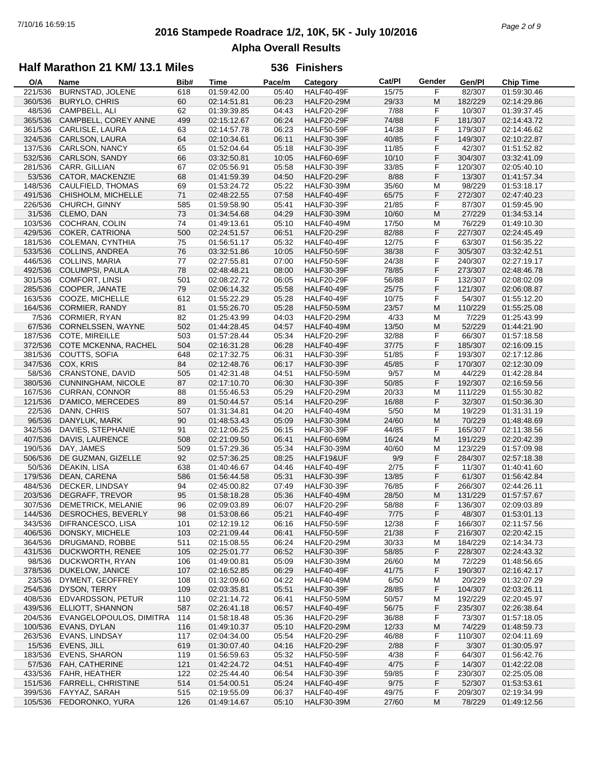## **2016 Stampede Roadrace 1/2, 10K, 5K - July 10/2016** 7/10/16 16:59:15 *Page 2 of 9* **Alpha Overall Results**

### **Half Marathon 21 KM/ 13.1 Miles**

| O/A     | Name                      | Bib# | <b>Time</b> | Pace/m | Category          | Cat/Pl | Gender | Gen/Pl  | <b>Chip Time</b> |
|---------|---------------------------|------|-------------|--------|-------------------|--------|--------|---------|------------------|
| 221/536 | BURNSTAD, JOLENE          | 618  | 01:59:42.00 | 05:40  | <b>HALF40-49F</b> | 15/75  | F      | 82/307  | 01:59:30.46      |
| 360/536 | <b>BURYLO, CHRIS</b>      | 60   | 02:14:51.81 | 06:23  | <b>HALF20-29M</b> | 29/33  | M      | 182/229 | 02:14:29.86      |
| 48/536  | CAMPBELL, ALI             | 62   | 01:39:39.85 | 04:43  | <b>HALF20-29F</b> | 7/88   | F      | 10/307  | 01:39:37.45      |
| 365/536 | CAMPBELL, COREY ANNE      | 499  | 02:15:12.67 | 06:24  | <b>HALF20-29F</b> | 74/88  | F      | 181/307 | 02:14:43.72      |
| 361/536 | CARLISLE, LAURA           | 63   | 02:14:57.78 | 06:23  | <b>HALF50-59F</b> | 14/38  | F      | 179/307 | 02:14:46.62      |
| 324/536 | CARLSON, LAURA            | 64   | 02:10:34.61 | 06:11  | <b>HALF30-39F</b> | 40/85  | F      | 149/307 | 02:10:22.87      |
| 137/536 | CARLSON, NANCY            | 65   | 01:52:04.64 | 05:18  | <b>HALF30-39F</b> | 11/85  | F      | 42/307  | 01:51:52.82      |
| 532/536 | CARLSON, SANDY            | 66   | 03:32:50.81 | 10:05  | HALF60-69F        | 10/10  | F      | 304/307 | 03:32:41.09      |
| 281/536 | CARR, GILLIAN             | 67   | 02:05:56.91 | 05:58  | <b>HALF30-39F</b> | 33/85  | F      | 120/307 | 02:05:40.10      |
|         |                           |      |             |        |                   |        |        |         |                  |
| 53/536  | CATOR, MACKENZIE          | 68   | 01:41:59.39 | 04:50  | <b>HALF20-29F</b> | 8/88   | F      | 13/307  | 01:41:57.34      |
| 148/536 | CAULFIELD, THOMAS         | 69   | 01:53:24.72 | 05:22  | <b>HALF30-39M</b> | 35/60  | M      | 98/229  | 01:53:18.17      |
| 491/536 | CHISHOLM, MICHELLE        | 71   | 02:48:22.55 | 07:58  | HALF40-49F        | 65/75  | F      | 272/307 | 02:47:40.23      |
| 226/536 | CHURCH, GINNY             | 585  | 01:59:58.90 | 05:41  | <b>HALF30-39F</b> | 21/85  | F      | 87/307  | 01:59:45.90      |
| 31/536  | CLEMO, DAN                | 73   | 01:34:54.68 | 04:29  | <b>HALF30-39M</b> | 10/60  | M      | 27/229  | 01:34:53.14      |
| 103/536 | COCHRAN, COLIN            | 74   | 01:49:13.61 | 05:10  | <b>HALF40-49M</b> | 17/50  | M      | 76/229  | 01:49:10.30      |
| 429/536 | <b>COKER, CATRIONA</b>    | 500  | 02:24:51.57 | 06:51  | <b>HALF20-29F</b> | 82/88  | F      | 227/307 | 02:24:45.49      |
| 181/536 | COLEMAN, CYNTHIA          | 75   | 01:56:51.17 | 05:32  | HALF40-49F        | 12/75  | F      | 63/307  | 01:56:35.22      |
| 533/536 | <b>COLLINS, ANDREA</b>    | 76   | 03:32:51.86 | 10:05  | <b>HALF50-59F</b> | 38/38  | F      | 305/307 | 03:32:42.51      |
| 446/536 | COLLINS, MARIA            | 77   | 02:27:55.81 | 07:00  | <b>HALF50-59F</b> | 24/38  | F      | 240/307 | 02:27:19.17      |
| 492/536 | COLUMPSI, PAULA           | 78   | 02:48:48.21 | 08:00  | <b>HALF30-39F</b> | 78/85  | F      | 273/307 | 02:48:46.78      |
| 301/536 | <b>COMFORT, LINSI</b>     | 501  | 02:08:22.72 | 06:05  | <b>HALF20-29F</b> | 56/88  | F      | 132/307 | 02:08:02.09      |
| 285/536 | COOPER, JANATE            | 79   | 02:06:14.32 | 05:58  | HALF40-49F        | 25/75  | F      | 121/307 | 02:06:08.87      |
| 163/536 | COOZE, MICHELLE           | 612  | 01:55:22.29 | 05:28  | HALF40-49F        | 10/75  | F      | 54/307  | 01:55:12.20      |
| 164/536 | CORMIER, RANDY            | 81   | 01:55:26.70 | 05:28  | <b>HALF50-59M</b> | 23/57  | M      | 110/229 | 01:55:25.08      |
| 7/536   | CORMIER, RYAN             | 82   | 01:25:43.99 | 04:03  | <b>HALF20-29M</b> | 4/33   | M      | 7/229   | 01:25:43.99      |
| 67/536  | CORNELSSEN, WAYNE         | 502  | 01:44:28.45 | 04:57  | <b>HALF40-49M</b> | 13/50  | M      | 52/229  | 01:44:21.90      |
|         |                           |      | 01:57:28.44 |        |                   |        | F      |         |                  |
| 187/536 | COTE, MIREILLE            | 503  |             | 05:34  | <b>HALF20-29F</b> | 32/88  |        | 66/307  | 01:57:18.58      |
| 372/536 | COTE MCKENNA, RACHEL      | 504  | 02:16:31.28 | 06:28  | <b>HALF40-49F</b> | 37/75  | F      | 185/307 | 02:16:09.15      |
| 381/536 | COUTTS, SOFIA             | 648  | 02:17:32.75 | 06:31  | <b>HALF30-39F</b> | 51/85  | F      | 193/307 | 02:17:12.86      |
| 347/536 | COX, KRIS                 | 84   | 02:12:48.76 | 06:17  | <b>HALF30-39F</b> | 45/85  | F      | 170/307 | 02:12:30.09      |
| 58/536  | <b>CRANSTONE, DAVID</b>   | 505  | 01:42:31.48 | 04:51  | <b>HALF50-59M</b> | 9/57   | M      | 44/229  | 01:42:28.84      |
| 380/536 | CUNNINGHAM, NICOLE        | 87   | 02:17:10.70 | 06:30  | <b>HALF30-39F</b> | 50/85  | F      | 192/307 | 02:16:59.56      |
| 167/536 | <b>CURRAN, CONNOR</b>     | 88   | 01:55:46.53 | 05:29  | <b>HALF20-29M</b> | 20/33  | M      | 111/229 | 01:55:30.82      |
| 121/536 | D'AMICO, MERCEDES         | 89   | 01:50:44.57 | 05:14  | <b>HALF20-29F</b> | 16/88  | F      | 32/307  | 01:50:36.30      |
| 22/536  | DANN, CHRIS               | 507  | 01:31:34.81 | 04:20  | <b>HALF40-49M</b> | 5/50   | M      | 19/229  | 01:31:31.19      |
| 96/536  | DANYLUK, MARK             | 90   | 01:48:53.43 | 05:09  | <b>HALF30-39M</b> | 24/60  | M      | 70/229  | 01:48:48.69      |
| 342/536 | DAVIES, STEPHANIE         | 91   | 02:12:06.25 | 06:15  | <b>HALF30-39F</b> | 44/85  | F      | 165/307 | 02:11:38.56      |
| 407/536 | DAVIS, LAURENCE           | 508  | 02:21:09.50 | 06:41  | <b>HALF60-69M</b> | 16/24  | M      | 191/229 | 02:20:42.39      |
| 190/536 | DAY, JAMES                | 509  | 01:57:29.36 | 05:34  | <b>HALF30-39M</b> | 40/60  | M      | 123/229 | 01:57:09.98      |
| 506/536 | DE GUZMAN, GIZELLE        | 92   | 02:57:36.25 | 08:25  | HALF19&UF         | 9/9    | F      | 284/307 | 02:57:18.38      |
| 50/536  | DEAKIN, LISA              | 638  | 01:40:46.67 | 04:46  | HALF40-49F        | 2/75   | F      | 11/307  | 01:40:41.60      |
| 179/536 | DEAN, CARENA              | 586  | 01:56:44.58 | 05:31  | <b>HALF30-39F</b> | 13/85  | F      | 61/307  | 01:56:42.84      |
| 484/536 | DECKER, LINDSAY           | 94   | 02:45:00.82 | 07:49  | <b>HALF30-39F</b> | 76/85  | F      | 266/307 | 02:44:26.11      |
| 203/536 | DEGRAFF, TREVOR           | 95   | 01:58:18.28 | 05:36  | <b>HALF40-49M</b> | 28/50  | M      | 131/229 | 01:57:57.67      |
| 307/536 | <b>DEMETRICK, MELANIE</b> | 96   | 02:09:03.89 | 06:07  | <b>HALF20-29F</b> | 58/88  | F      | 136/307 | 02:09:03.89      |
| 144/536 | DESROCHES, BEVERLY        | 98   | 01:53:08.66 | 05:21  | <b>HALF40-49F</b> | 7/75   | F      | 48/307  | 01:53:01.13      |
| 343/536 | DIFRANCESCO, LISA         | 101  | 02:12:19.12 | 06:16  | <b>HALF50-59F</b> | 12/38  | F      | 166/307 | 02:11:57.56      |
| 406/536 | DONSKY, MICHELE           |      | 02:21:09.44 | 06:41  | <b>HALF50-59F</b> | 21/38  | F      | 216/307 | 02:20:42.15      |
|         |                           | 103  |             |        |                   |        |        |         |                  |
| 364/536 | DRUGMAND, ROBBE           | 511  | 02:15:08.55 | 06:24  | <b>HALF20-29M</b> | 30/33  | M      | 184/229 | 02:14:34.73      |
| 431/536 | DUCKWORTH, RENEE          | 105  | 02:25:01.77 | 06:52  | <b>HALF30-39F</b> | 58/85  | F      | 228/307 | 02:24:43.32      |
| 98/536  | DUCKWORTH, RYAN           | 106  | 01:49:00.81 | 05:09  | <b>HALF30-39M</b> | 26/60  | M      | 72/229  | 01:48:56.65      |
| 378/536 | DUKELOW, JANICE           | 107  | 02:16:52.85 | 06:29  | <b>HALF40-49F</b> | 41/75  | F      | 190/307 | 02:16:42.17      |
| 23/536  | DYMENT, GEOFFREY          | 108  | 01:32:09.60 | 04:22  | <b>HALF40-49M</b> | 6/50   | M      | 20/229  | 01:32:07.29      |
| 254/536 | DYSON, TERRY              | 109  | 02:03:35.81 | 05:51  | <b>HALF30-39F</b> | 28/85  | F      | 104/307 | 02:03:26.11      |
| 408/536 | EDVARDSSON, PETUR         | 110  | 02:21:14.72 | 06:41  | <b>HALF50-59M</b> | 50/57  | M      | 192/229 | 02:20:45.97      |
| 439/536 | ELLIOTT, SHANNON          | 587  | 02:26:41.18 | 06:57  | <b>HALF40-49F</b> | 56/75  | F      | 235/307 | 02:26:38.64      |
| 204/536 | EVANGELOPOULOS, DIMITRA   | 114  | 01:58:18.48 | 05:36  | <b>HALF20-29F</b> | 36/88  | F      | 73/307  | 01:57:18.05      |
| 100/536 | EVANS, DYLAN              | 116  | 01:49:10.37 | 05:10  | <b>HALF20-29M</b> | 12/33  | M      | 74/229  | 01:48:59.73      |
| 263/536 | EVANS, LINDSAY            | 117  | 02:04:34.00 | 05:54  | HALF20-29F        | 46/88  | F      | 110/307 | 02:04:11.69      |
| 15/536  | EVENS, JILL               | 619  | 01:30:07.40 | 04:16  | <b>HALF20-29F</b> | 2/88   | F      | 3/307   | 01:30:05.97      |
| 183/536 | <b>EVENS, SHARON</b>      | 119  | 01:56:59.63 | 05:32  | <b>HALF50-59F</b> | 4/38   | F      | 64/307  | 01:56:42.76      |
| 57/536  | FAH, CATHERINE            | 121  | 01:42:24.72 | 04:51  | <b>HALF40-49F</b> | 4/75   | F      | 14/307  | 01:42:22.08      |
| 433/536 | FAHR, HEATHER             | 122  | 02:25:44.40 | 06:54  | HALF30-39F        | 59/85  | F      | 230/307 | 02:25:05.08      |
| 151/536 | <b>FARRELL, CHRISTINE</b> | 514  | 01:54:00.51 | 05:24  | <b>HALF40-49F</b> | 9/75   | F      | 52/307  | 01:53:53.61      |
| 399/536 | FAYYAZ, SARAH             | 515  | 02:19:55.09 | 06:37  | HALF40-49F        | 49/75  | F      | 209/307 | 02:19:34.99      |
|         | 105/536 FEDORONKO, YURA   | 126  | 01:49:14.67 | 05:10  | <b>HALF30-39M</b> | 27/60  | M      | 78/229  | 01:49:12.56      |
|         |                           |      |             |        |                   |        |        |         |                  |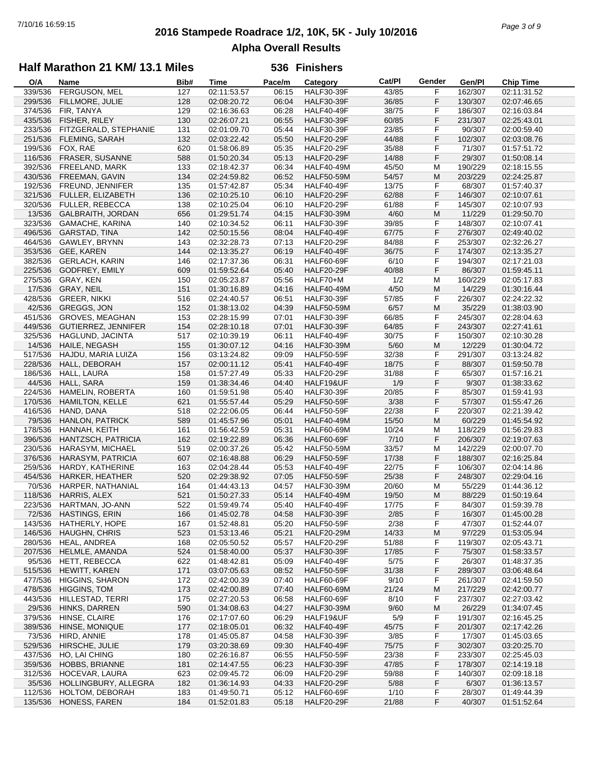## **2016 Stampede Roadrace 1/2, 10K, 5K - July 10/2016** 7/10/16 16:59:15 *Page 3 of 9* **Alpha Overall Results**

## **Half Marathon 21 KM/ 13.1 Miles**

| O/A     | Name                   | Bib# | Time        | Pace/m | Category          | Cat/Pl | Gender | Gen/Pl  | <b>Chip Time</b> |
|---------|------------------------|------|-------------|--------|-------------------|--------|--------|---------|------------------|
| 339/536 | FERGUSON, MEL          | 127  | 02:11:53.57 | 06:15  | <b>HALF30-39F</b> | 43/85  | F      | 162/307 | 02:11:31.52      |
| 299/536 | FILLMORE, JULIE        | 128  | 02:08:20.72 | 06:04  | <b>HALF30-39F</b> | 36/85  | F      | 130/307 | 02:07:46.65      |
| 374/536 | FIR, TANYA             | 129  | 02:16:36.63 | 06:28  | <b>HALF40-49F</b> | 38/75  | F      | 186/307 | 02:16:03.84      |
| 435/536 | FISHER, RILEY          | 130  | 02:26:07.21 | 06:55  | <b>HALF30-39F</b> | 60/85  | F      | 231/307 | 02:25:43.01      |
| 233/536 | FITZGERALD, STEPHANIE  | 131  | 02:01:09.70 | 05:44  | <b>HALF30-39F</b> | 23/85  | F      | 90/307  | 02:00:59.40      |
|         |                        |      |             |        |                   |        |        |         |                  |
| 251/536 | <b>FLEMING, SARAH</b>  | 132  | 02:03:22.42 | 05:50  | <b>HALF20-29F</b> | 44/88  | F      | 102/307 | 02:03:08.76      |
| 199/536 | FOX, RAE               | 620  | 01:58:06.89 | 05:35  | <b>HALF20-29F</b> | 35/88  | F      | 71/307  | 01:57:51.72      |
| 116/536 | FRASER, SUSANNE        | 588  | 01:50:20.34 | 05:13  | <b>HALF20-29F</b> | 14/88  | F      | 29/307  | 01:50:08.14      |
| 392/536 | FREELAND, MARK         | 133  | 02:18:42.37 | 06:34  | <b>HALF40-49M</b> | 45/50  | M      | 190/229 | 02:18:15.55      |
| 430/536 | FREEMAN, GAVIN         | 134  | 02:24:59.82 | 06:52  | <b>HALF50-59M</b> | 54/57  | M      | 203/229 | 02:24:25.87      |
| 192/536 | FREUND, JENNIFER       | 135  | 01:57:42.87 | 05:34  | <b>HALF40-49F</b> | 13/75  | F      | 68/307  | 01:57:40.37      |
| 321/536 | FULLER, ELIZABETH      | 136  | 02:10:25.10 | 06:10  | <b>HALF20-29F</b> | 62/88  | F      | 146/307 | 02:10:07.61      |
| 320/536 | <b>FULLER, REBECCA</b> | 138  | 02:10:25.04 | 06:10  | <b>HALF20-29F</b> | 61/88  | F      | 145/307 | 02:10:07.93      |
| 13/536  | GALBRAITH, JORDAN      | 656  | 01:29:51.74 | 04:15  | <b>HALF30-39M</b> | 4/60   | M      | 11/229  | 01:29:50.70      |
|         |                        |      |             |        |                   |        |        |         |                  |
| 323/536 | GAMACHE, KARINA        | 140  | 02:10:34.52 | 06:11  | <b>HALF30-39F</b> | 39/85  | F      | 148/307 | 02:10:07.41      |
| 496/536 | GARSTAD, TINA          | 142  | 02:50:15.56 | 08:04  | <b>HALF40-49F</b> | 67/75  | F      | 276/307 | 02:49:40.02      |
| 464/536 | GAWLEY, BRYNN          | 143  | 02:32:28.73 | 07:13  | <b>HALF20-29F</b> | 84/88  | F      | 253/307 | 02:32:26.27      |
| 353/536 | GEE, KAREN             | 144  | 02:13:35.27 | 06:19  | <b>HALF40-49F</b> | 36/75  | F      | 174/307 | 02:13:35.27      |
| 382/536 | <b>GERLACH, KARIN</b>  | 146  | 02:17:37.36 | 06:31  | <b>HALF60-69F</b> | 6/10   | F      | 194/307 | 02:17:21.03      |
| 225/536 | <b>GODFREY, EMILY</b>  | 609  | 01:59:52.64 | 05:40  | <b>HALF20-29F</b> | 40/88  | F      | 86/307  | 01:59:45.11      |
| 275/536 | GRAY, KEN              | 150  | 02:05:23.87 | 05:56  | HALF70+M          | 1/2    | M      | 160/229 | 02:05:17.83      |
| 17/536  | GRAY, NEIL             | 151  | 01:30:16.89 | 04:16  | <b>HALF40-49M</b> | 4/50   | M      | 14/229  | 01:30:16.44      |
| 428/536 | <b>GREER, NIKKI</b>    | 516  | 02:24:40.57 | 06:51  | <b>HALF30-39F</b> | 57/85  | F      | 226/307 | 02:24:22.32      |
|         |                        |      |             |        |                   |        |        |         |                  |
| 42/536  | GREGGS, JON            | 152  | 01:38:13.02 | 04:39  | <b>HALF50-59M</b> | 6/57   | M      | 35/229  | 01:38:03.90      |
| 451/536 | <b>GROVES, MEAGHAN</b> | 153  | 02:28:15.99 | 07:01  | <b>HALF30-39F</b> | 66/85  | F      | 245/307 | 02:28:04.63      |
| 449/536 | GUTIERREZ, JENNIFER    | 154  | 02:28:10.18 | 07:01  | <b>HALF30-39F</b> | 64/85  | F      | 243/307 | 02:27:41.61      |
| 325/536 | HAGLUND, JACINTA       | 517  | 02:10:39.19 | 06:11  | <b>HALF40-49F</b> | 30/75  | F      | 150/307 | 02:10:30.28      |
| 14/536  | HAILE, NEGASH          | 155  | 01:30:07.12 | 04:16  | <b>HALF30-39M</b> | $5/60$ | M      | 12/229  | 01:30:04.72      |
| 517/536 | HAJDU, MARIA LUIZA     | 156  | 03:13:24.82 | 09:09  | <b>HALF50-59F</b> | 32/38  | F      | 291/307 | 03:13:24.82      |
| 228/536 | HALL, DEBORAH          | 157  | 02:00:11.12 | 05:41  | <b>HALF40-49F</b> | 18/75  | F      | 88/307  | 01:59:50.78      |
| 186/536 | HALL, LAURA            | 158  | 01:57:27.49 | 05:33  | <b>HALF20-29F</b> | 31/88  | F      | 65/307  | 01:57:16.21      |
| 44/536  | HALL, SARA             | 159  | 01:38:34.46 | 04:40  | HALF19&UF         | 1/9    | F      | 9/307   | 01:38:33.62      |
|         |                        |      |             |        |                   |        |        |         |                  |
| 224/536 | HAMELIN, ROBERTA       | 160  | 01:59:51.98 | 05:40  | <b>HALF30-39F</b> | 20/85  | F      | 85/307  | 01:59:41.93      |
| 170/536 | <b>HAMILTON, KELLE</b> | 621  | 01:55:57.44 | 05:29  | <b>HALF50-59F</b> | 3/38   | F      | 57/307  | 01:55:47.26      |
| 416/536 | HAND, DANA             | 518  | 02:22:06.05 | 06:44  | <b>HALF50-59F</b> | 22/38  | F      | 220/307 | 02:21:39.42      |
| 79/536  | <b>HANLON, PATRICK</b> | 589  | 01:45:57.96 | 05:01  | <b>HALF40-49M</b> | 15/50  | M      | 60/229  | 01:45:54.92      |
| 178/536 | HANNAH, KEITH          | 161  | 01:56:42.59 | 05:31  | HALF60-69M        | 10/24  | M      | 118/229 | 01:56:29.83      |
| 396/536 | HANTZSCH, PATRICIA     | 162  | 02:19:22.89 | 06:36  | <b>HALF60-69F</b> | 7/10   | F      | 206/307 | 02:19:07.63      |
| 230/536 | HARASYM, MICHAEL       | 519  | 02:00:37.26 | 05:42  | <b>HALF50-59M</b> | 33/57  | M      | 142/229 | 02:00:07.70      |
| 376/536 | HARASYM, PATRICIA      | 607  | 02:16:48.88 | 06:29  | <b>HALF50-59F</b> | 17/38  | F      | 188/307 | 02:16:25.84      |
| 259/536 | HARDY, KATHERINE       | 163  | 02:04:28.44 | 05:53  | <b>HALF40-49F</b> | 22/75  | F      | 106/307 | 02:04:14.86      |
| 454/536 | HARKER, HEATHER        | 520  | 02:29:38.92 | 07:05  | <b>HALF50-59F</b> | 25/38  | F      | 248/307 | 02:29:04.16      |
| 70/536  |                        |      |             |        |                   |        |        |         |                  |
|         | HARPER, NATHANIAL      | 164  | 01:44:43.13 | 04:57  | <b>HALF30-39M</b> | 20/60  | M      | 55/229  | 01:44:36.12      |
| 118/536 | <b>HARRIS, ALEX</b>    | 521  | 01:50:27.33 | 05:14  | <b>HALF40-49M</b> | 19/50  | M      | 88/229  | 01:50:19.64      |
| 223/536 | HARTMAN, JO-ANN        | 522  | 01:59:49.74 | 05:40  | <b>HALF40-49F</b> | 17/75  | F      | 84/307  | 01:59:39.78      |
| 72/536  | <b>HASTINGS, ERIN</b>  | 166  | 01:45:02.78 | 04:58  | <b>HALF30-39F</b> | 2/85   | F      | 16/307  | 01:45:00.28      |
| 143/536 | HATHERLY, HOPE         | 167  | 01:52:48.81 | 05:20  | <b>HALF50-59F</b> | 2/38   | F      | 47/307  | 01:52:44.07      |
| 146/536 | <b>HAUGHN, CHRIS</b>   | 523  | 01:53:13.46 | 05:21  | <b>HALF20-29M</b> | 14/33  | M      | 97/229  | 01:53:05.94      |
| 280/536 | HEAL, ANDREA           | 168  | 02:05:50.52 | 05:57  | <b>HALF20-29F</b> | 51/88  | F      | 119/307 | 02:05:43.71      |
| 207/536 | HELMLE, AMANDA         | 524  | 01:58:40.00 | 05:37  | <b>HALF30-39F</b> | 17/85  | F      | 75/307  | 01:58:33.57      |
| 95/536  | HETT, REBECCA          | 622  | 01:48:42.81 | 05:09  | <b>HALF40-49F</b> | 5/75   | F      | 26/307  | 01:48:37.35      |
| 515/536 | HEWITT, KAREN          | 171  | 03:07:05.63 | 08:52  | <b>HALF50-59F</b> | 31/38  | F      | 289/307 | 03:06:48.64      |
| 477/536 | <b>HIGGINS, SHARON</b> | 172  | 02:42:00.39 | 07:40  | <b>HALF60-69F</b> | 9/10   | F      | 261/307 | 02:41:59.50      |
|         | <b>HIGGINS, TOM</b>    |      |             |        |                   |        |        |         |                  |
| 478/536 |                        | 173  | 02:42:00.89 | 07:40  | <b>HALF60-69M</b> | 21/24  | M      | 217/229 | 02:42:00.77      |
| 443/536 | HILLESTAD, TERRI       | 175  | 02:27:20.53 | 06:58  | <b>HALF60-69F</b> | 8/10   | F      | 237/307 | 02:27:03.42      |
| 29/536  | HINKS, DARREN          | 590  | 01:34:08.63 | 04:27  | <b>HALF30-39M</b> | 9/60   | M      | 26/229  | 01:34:07.45      |
| 379/536 | HINSE, CLAIRE          | 176  | 02:17:07.60 | 06:29  | HALF19&UF         | 5/9    | F      | 191/307 | 02:16:45.25      |
| 389/536 | HINSE, MONIQUE         | 177  | 02:18:05.01 | 06:32  | <b>HALF40-49F</b> | 45/75  | F      | 201/307 | 02:17:42.26      |
| 73/536  | HIRD, ANNIE            | 178  | 01:45:05.87 | 04:58  | <b>HALF30-39F</b> | 3/85   | F      | 17/307  | 01:45:03.65      |
| 529/536 | HIRSCHE, JULIE         | 179  | 03:20:38.69 | 09:30  | <b>HALF40-49F</b> | 75/75  | F      | 302/307 | 03:20:25.70      |
| 437/536 | HO, LAI CHING          | 180  | 02:26:16.87 | 06:55  | <b>HALF50-59F</b> | 23/38  | F      | 233/307 | 02:25:45.03      |
| 359/536 | <b>HOBBS, BRIANNE</b>  | 181  | 02:14:47.55 | 06:23  | <b>HALF30-39F</b> | 47/85  | F      | 178/307 | 02:14:19.18      |
| 312/536 | HOCEVAR, LAURA         | 623  | 02:09:45.72 | 06:09  | <b>HALF20-29F</b> | 59/88  | F      | 140/307 | 02:09:18.18      |
|         |                        |      |             |        |                   |        |        |         |                  |
| 35/536  | HOLLINGBURY, ALLEGRA   | 182  | 01:36:14.93 | 04:33  | <b>HALF20-29F</b> | 5/88   | F      | 6/307   | 01:36:13.57      |
| 112/536 | HOLTOM, DEBORAH        | 183  | 01:49:50.71 | 05:12  | <b>HALF60-69F</b> | 1/10   | F      | 28/307  | 01:49:44.39      |
| 135/536 | HONESS, FAREN          | 184  | 01:52:01.83 | 05:18  | <b>HALF20-29F</b> | 21/88  | F      | 40/307  | 01:51:52.64      |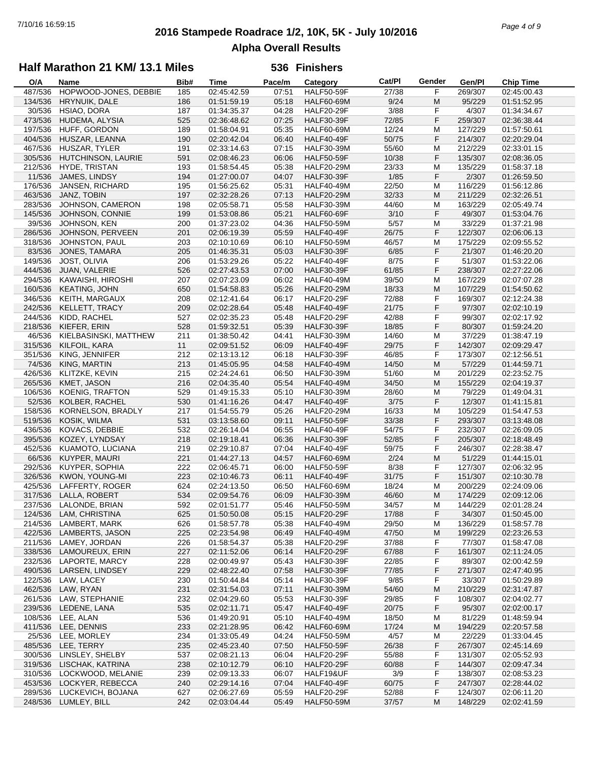## **2016 Stampede Roadrace 1/2, 10K, 5K - July 10/2016** 7/10/16 16:59:15 *Page 4 of 9* **Alpha Overall Results**

### **Half Marathon 21 KM/ 13.1 Miles**

| O/A     | Name                  | Bib# | <b>Time</b> | Pace/m | Category          | Cat/PI | Gender | Gen/Pl  | <b>Chip Time</b>          |
|---------|-----------------------|------|-------------|--------|-------------------|--------|--------|---------|---------------------------|
| 487/536 | HOPWOOD-JONES, DEBBIE | 185  | 02:45:42.59 | 07:51  | <b>HALF50-59F</b> | 27/38  | F      | 269/307 | $\overline{02}$ :45:00.43 |
| 134/536 | <b>HRYNUIK, DALE</b>  | 186  | 01:51:59.19 | 05:18  | <b>HALF60-69M</b> | 9/24   | M      | 95/229  | 01:51:52.95               |
| 30/536  | HSIAO, DORA           | 187  | 01:34:35.37 | 04:28  | <b>HALF20-29F</b> | 3/88   | F      | 4/307   | 01:34:34.67               |
| 473/536 | HUDEMA, ALYSIA        | 525  | 02:36:48.62 | 07:25  | <b>HALF30-39F</b> | 72/85  | F      | 259/307 | 02:36:38.44               |
| 197/536 |                       | 189  | 01:58:04.91 | 05:35  |                   | 12/24  |        | 127/229 |                           |
|         | HUFF, GORDON          |      |             |        | <b>HALF60-69M</b> |        | м      |         | 01:57:50.61               |
| 404/536 | HUSZAR, LEANNA        | 190  | 02:20:42.04 | 06:40  | <b>HALF40-49F</b> | 50/75  | F      | 214/307 | 02:20:29.04               |
| 467/536 | HUSZAR, TYLER         | 191  | 02:33:14.63 | 07:15  | <b>HALF30-39M</b> | 55/60  | M      | 212/229 | 02:33:01.15               |
| 305/536 | HUTCHINSON, LAURIE    | 591  | 02:08:46.23 | 06:06  | <b>HALF50-59F</b> | 10/38  | F      | 135/307 | 02:08:36.05               |
| 212/536 | <b>HYDE, TRISTAN</b>  | 193  | 01:58:54.45 | 05:38  | <b>HALF20-29M</b> | 23/33  | М      | 135/229 | 01:58:37.18               |
| 11/536  | JAMES, LINDSY         | 194  | 01:27:00.07 | 04:07  | <b>HALF30-39F</b> | 1/85   | F      | 2/307   | 01:26:59.50               |
| 176/536 | JANSEN, RICHARD       | 195  | 01:56:25.62 | 05:31  | <b>HALF40-49M</b> | 22/50  | М      | 116/229 | 01:56:12.86               |
| 463/536 | JANZ, TOBIN           | 197  | 02:32:28.26 | 07:13  | <b>HALF20-29M</b> | 32/33  | M      | 211/229 | 02:32:26.51               |
| 283/536 | JOHNSON, CAMERON      | 198  | 02:05:58.71 | 05:58  | <b>HALF30-39M</b> | 44/60  | M      | 163/229 | 02:05:49.74               |
|         |                       |      |             |        |                   |        |        |         |                           |
| 145/536 | JOHNSON, CONNIE       | 199  | 01:53:08.86 | 05:21  | <b>HALF60-69F</b> | 3/10   | F      | 49/307  | 01:53:04.76               |
| 39/536  | JOHNSON, KEN          | 200  | 01:37:23.02 | 04:36  | <b>HALF50-59M</b> | 5/57   | М      | 33/229  | 01:37:21.98               |
| 286/536 | JOHNSON, PERVEEN      | 201  | 02:06:19.39 | 05:59  | <b>HALF40-49F</b> | 26/75  | F      | 122/307 | 02:06:06.13               |
| 318/536 | JOHNSTON, PAUL        | 203  | 02:10:10.69 | 06:10  | <b>HALF50-59M</b> | 46/57  | М      | 175/229 | 02:09:55.52               |
| 83/536  | JONES, TAMARA         | 205  | 01:46:35.31 | 05:03  | <b>HALF30-39F</b> | 6/85   | F      | 21/307  | 01:46:20.20               |
| 149/536 | JOST, OLIVIA          | 206  | 01:53:29.26 | 05:22  | HALF40-49F        | 8/75   | F      | 51/307  | 01:53:22.06               |
| 444/536 | JUAN, VALERIE         | 526  | 02:27:43.53 | 07:00  | <b>HALF30-39F</b> | 61/85  | F      | 238/307 | 02:27:22.06               |
| 294/536 | KAWAISHI, HIROSHI     | 207  | 02:07:23.09 | 06:02  | <b>HALF40-49M</b> | 39/50  | М      | 167/229 | 02:07:07.28               |
|         |                       |      |             |        |                   |        |        |         |                           |
| 160/536 | <b>KEATING, JOHN</b>  | 650  | 01:54:58.83 | 05:26  | <b>HALF20-29M</b> | 18/33  | M      | 107/229 | 01:54:50.62               |
| 346/536 | <b>KEITH, MARGAUX</b> | 208  | 02:12:41.64 | 06:17  | <b>HALF20-29F</b> | 72/88  | F      | 169/307 | 02:12:24.38               |
| 242/536 | KELLETT, TRACY        | 209  | 02:02:28.64 | 05:48  | HALF40-49F        | 21/75  | F      | 97/307  | 02:02:10.19               |
| 244/536 | KIDD, RACHEL          | 527  | 02:02:35.23 | 05:48  | <b>HALF20-29F</b> | 42/88  | F      | 99/307  | 02:02:17.92               |
| 218/536 | KIEFER, ERIN          | 528  | 01:59:32.51 | 05:39  | <b>HALF30-39F</b> | 18/85  | F      | 80/307  | 01:59:24.20               |
| 46/536  | KIELBASINSKI, MATTHEW | 211  | 01:38:50.42 | 04:41  | <b>HALF30-39M</b> | 14/60  | M      | 37/229  | 01:38:47.19               |
| 315/536 | KILFOIL, KARA         | 11   | 02:09:51.52 | 06:09  | HALF40-49F        | 29/75  | F      | 142/307 | 02:09:29.47               |
| 351/536 | KING, JENNIFER        | 212  | 02:13:13.12 | 06:18  | <b>HALF30-39F</b> | 46/85  | F      | 173/307 | 02:12:56.51               |
|         |                       |      |             |        |                   |        | M      |         |                           |
| 74/536  | KING, MARTIN          | 213  | 01:45:05.95 | 04:58  | <b>HALF40-49M</b> | 14/50  |        | 57/229  | 01:44:59.71               |
| 426/536 | KLITZKE, KEVIN        | 215  | 02:24:24.61 | 06:50  | <b>HALF30-39M</b> | 51/60  | M      | 201/229 | 02:23:52.75               |
| 265/536 | KMET, JASON           | 216  | 02:04:35.40 | 05:54  | <b>HALF40-49M</b> | 34/50  | M      | 155/229 | 02:04:19.37               |
| 106/536 | KOENIG, TRAFTON       | 529  | 01:49:15.33 | 05:10  | <b>HALF30-39M</b> | 28/60  | M      | 79/229  | 01:49:04.31               |
| 52/536  | KOLBER, RACHEL        | 530  | 01:41:16.26 | 04:47  | HALF40-49F        | 3/75   | F      | 12/307  | 01:41:15.81               |
| 158/536 | KORNELSON, BRADLY     | 217  | 01:54:55.79 | 05:26  | <b>HALF20-29M</b> | 16/33  | M      | 105/229 | 01:54:47.53               |
| 519/536 | KOSIK, WILMA          | 531  | 03:13:58.60 | 09:11  | <b>HALF50-59F</b> | 33/38  | F      | 293/307 | 03:13:48.08               |
| 436/536 | KOVACS, DEBBIE        | 532  | 02:26:14.04 | 06:55  | HALF40-49F        | 54/75  | F      | 232/307 | 02:26:09.05               |
| 395/536 | KOZEY, LYNDSAY        | 218  | 02:19:18.41 | 06:36  | <b>HALF30-39F</b> | 52/85  | F      | 205/307 | 02:18:48.49               |
|         |                       |      |             |        |                   |        |        |         |                           |
| 452/536 | KUAMOTO, LUCIANA      | 219  | 02:29:10.87 | 07:04  | HALF40-49F        | 59/75  | F      | 246/307 | 02:28:38.47               |
| 66/536  | KUYPER, MAURI         | 221  | 01:44:27.13 | 04:57  | <b>HALF60-69M</b> | 2/24   | M      | 51/229  | 01:44:15.01               |
| 292/536 | KUYPER, SOPHIA        | 222  | 02:06:45.71 | 06:00  | <b>HALF50-59F</b> | 8/38   | F      | 127/307 | 02:06:32.95               |
| 326/536 | KWON, YOUNG-MI        | 223  | 02:10:46.73 | 06:11  | HALF40-49F        | 31/75  | F      | 151/307 | 02:10:30.78               |
| 425/536 | LAFFERTY, ROGER       | 624  | 02:24:13.50 | 06:50  | <b>HALF60-69M</b> | 18/24  | М      | 200/229 | 02:24:09.06               |
| 317/536 | LALLA, ROBERT         | 534  | 02:09:54.76 | 06:09  | <b>HALF30-39M</b> | 46/60  | M      | 174/229 | 02:09:12.06               |
| 237/536 | LALONDE, BRIAN        | 592  | 02:01:51.77 | 05:46  | <b>HALF50-59M</b> | 34/57  | M      | 144/229 | 02:01:28.24               |
| 124/536 | LAM, CHRISTINA        | 625  | 01:50:50.08 | 05:15  | <b>HALF20-29F</b> | 17/88  | F      | 34/307  | 01:50:45.00               |
| 214/536 | LAMBERT, MARK         | 626  | 01:58:57.78 | 05:38  | <b>HALF40-49M</b> | 29/50  | M      | 136/229 | 01:58:57.78               |
|         |                       |      |             |        |                   |        |        |         |                           |
| 422/536 | LAMBERTS, JASON       | 225  | 02:23:54.98 | 06:49  | <b>HALF40-49M</b> | 47/50  | M      | 199/229 | 02:23:26.53               |
| 211/536 | LAMEY, JORDAN         | 226  | 01:58:54.37 | 05:38  | <b>HALF20-29F</b> | 37/88  | F      | 77/307  | 01:58:47.08               |
| 338/536 | LAMOUREUX, ERIN       | 227  | 02:11:52.06 | 06:14  | <b>HALF20-29F</b> | 67/88  | F      | 161/307 | 02:11:24.05               |
| 232/536 | LAPORTE, MARCY        | 228  | 02:00:49.97 | 05:43  | <b>HALF30-39F</b> | 22/85  | F      | 89/307  | 02:00:42.59               |
| 490/536 | LARSEN, LINDSEY       | 229  | 02:48:22.40 | 07:58  | <b>HALF30-39F</b> | 77/85  | F      | 271/307 | 02:47:40.95               |
| 122/536 | LAW, LACEY            | 230  | 01:50:44.84 | 05:14  | <b>HALF30-39F</b> | 9/85   | F      | 33/307  | 01:50:29.89               |
| 462/536 | LAW, RYAN             | 231  | 02:31:54.03 | 07:11  | <b>HALF30-39M</b> | 54/60  | M      | 210/229 | 02:31:47.87               |
| 261/536 | LAW, STEPHANIE        | 232  | 02:04:29.60 | 05:53  | <b>HALF30-39F</b> | 29/85  | F      | 108/307 | 02:04:02.77               |
| 239/536 | LEDENE, LANA          | 535  | 02:02:11.71 | 05:47  | HALF40-49F        | 20/75  | F      | 95/307  | 02:02:00.17               |
|         |                       |      |             |        |                   |        |        |         |                           |
| 108/536 | LEE, ALAN             | 536  | 01:49:20.91 | 05:10  | <b>HALF40-49M</b> | 18/50  | M      | 81/229  | 01:48:59.94               |
| 411/536 | LEE, DENNIS           | 233  | 02:21:28.95 | 06:42  | <b>HALF60-69M</b> | 17/24  | M      | 194/229 | 02:20:57.58               |
| 25/536  | LEE, MORLEY           | 234  | 01:33:05.49 | 04:24  | <b>HALF50-59M</b> | 4/57   | М      | 22/229  | 01:33:04.45               |
| 485/536 | LEE, TERRY            | 235  | 02:45:23.40 | 07:50  | HALF50-59F        | 26/38  | F      | 267/307 | 02:45:14.69               |
| 300/536 | LINSLEY, SHELBY       | 537  | 02:08:21.13 | 06:04  | <b>HALF20-29F</b> | 55/88  | F      | 131/307 | 02:05:52.93               |
| 319/536 | LISCHAK, KATRINA      | 238  | 02:10:12.79 | 06:10  | <b>HALF20-29F</b> | 60/88  | F      | 144/307 | 02:09:47.34               |
| 310/536 | LOCKWOOD, MELANIE     | 239  | 02:09:13.33 | 06:07  | HALF19&UF         | 3/9    | F      | 138/307 | 02:08:53.23               |
| 453/536 | LOCKYER, REBECCA      | 240  | 02:29:14.16 | 07:04  | <b>HALF40-49F</b> | 60/75  | F      | 247/307 | 02:28:44.02               |
| 289/536 | LUCKEVICH, BOJANA     | 627  | 02:06:27.69 | 05:59  | <b>HALF20-29F</b> | 52/88  | F      | 124/307 | 02:06:11.20               |
|         |                       | 242  | 02:03:04.44 |        | <b>HALF50-59M</b> |        | M      | 148/229 | 02:02:41.59               |
|         | 248/536 LUMLEY, BILL  |      |             | 05:49  |                   | 37/57  |        |         |                           |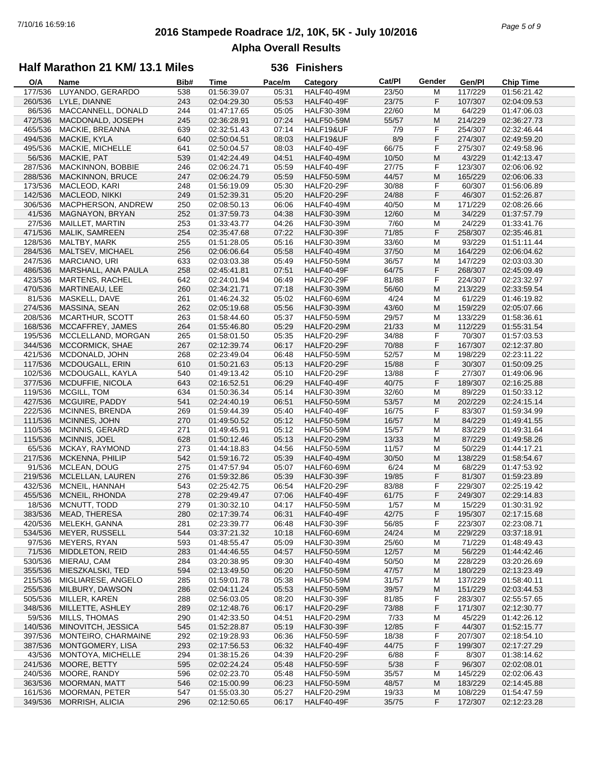## **2016 Stampede Roadrace 1/2, 10K, 5K - July 10/2016** 7/10/16 16:59:16 *Page 5 of 9* **Alpha Overall Results**

### **Half Marathon 21 KM/ 13.1 Miles**

| O/A     | <b>Name</b>             | Bib# | <b>Time</b> | Pace/m | Category          | Cat/PI | Gender | Gen/PI  | <b>Chip Time</b> |
|---------|-------------------------|------|-------------|--------|-------------------|--------|--------|---------|------------------|
| 177/536 | LUYANDO, GERARDO        | 538  | 01:56:39.07 | 05:31  | <b>HALF40-49M</b> | 23/50  | M      | 117/229 | 01:56:21.42      |
| 260/536 | LYLE, DIANNE            | 243  | 02:04:29.30 | 05:53  | <b>HALF40-49F</b> | 23/75  | F      | 107/307 | 02:04:09.53      |
| 86/536  | MACCANNELL, DONALD      | 244  | 01:47:17.65 | 05:05  | <b>HALF30-39M</b> | 22/60  | M      | 64/229  | 01:47:06.03      |
| 472/536 | MACDONALD, JOSEPH       | 245  | 02:36:28.91 | 07:24  | <b>HALF50-59M</b> | 55/57  | M      | 214/229 | 02:36:27.73      |
|         |                         |      |             | 07:14  |                   |        | F      |         |                  |
| 465/536 | MACKIE, BREANNA         | 639  | 02:32:51.43 |        | HALF19&UF         | 7/9    |        | 254/307 | 02:32:46.44      |
| 494/536 | MACKIE, KYLA            | 640  | 02:50:04.51 | 08:03  | HALF19&UF         | 8/9    | F      | 274/307 | 02:49:59.20      |
| 495/536 | MACKIE, MICHELLE        | 641  | 02:50:04.57 | 08:03  | HALF40-49F        | 66/75  | F      | 275/307 | 02:49:58.96      |
| 56/536  | MACKIE, PAT             | 539  | 01:42:24.49 | 04:51  | <b>HALF40-49M</b> | 10/50  | M      | 43/229  | 01:42:13.47      |
| 287/536 | MACKINNON, BOBBIE       | 246  | 02:06:24.71 | 05:59  | HALF40-49F        | 27/75  | F      | 123/307 | 02:06:06.92      |
| 288/536 | <b>MACKINNON, BRUCE</b> | 247  | 02:06:24.79 | 05:59  | <b>HALF50-59M</b> | 44/57  | M      | 165/229 | 02:06:06.33      |
| 173/536 | MACLEOD, KARI           | 248  | 01:56:19.09 | 05:30  | <b>HALF20-29F</b> | 30/88  | F      | 60/307  | 01:56:06.89      |
| 142/536 | <b>MACLEOD, NIKKI</b>   | 249  | 01:52:39.31 | 05:20  | <b>HALF20-29F</b> | 24/88  | F      | 46/307  | 01:52:26.87      |
| 306/536 | MACPHERSON, ANDREW      | 250  | 02:08:50.13 | 06:06  | <b>HALF40-49M</b> | 40/50  | M      | 171/229 | 02:08:26.66      |
| 41/536  | MAGNAYON, BRYAN         | 252  | 01:37:59.73 | 04:38  | <b>HALF30-39M</b> | 12/60  | M      | 34/229  | 01:37:57.79      |
|         |                         |      |             |        |                   |        | M      |         |                  |
| 27/536  | MAILLET, MARTIN         | 253  | 01:33:43.77 | 04:26  | <b>HALF30-39M</b> | 7/60   |        | 24/229  | 01:33:41.76      |
| 471/536 | MALIK, SAMREEN          | 254  | 02:35:47.68 | 07:22  | <b>HALF30-39F</b> | 71/85  | F      | 258/307 | 02:35:46.81      |
| 128/536 | MALTBY, MARK            | 255  | 01:51:28.05 | 05:16  | <b>HALF30-39M</b> | 33/60  | M      | 93/229  | 01:51:11.44      |
| 284/536 | MALTSEV, MICHAEL        | 256  | 02:06:06.64 | 05:58  | <b>HALF40-49M</b> | 37/50  | M      | 164/229 | 02:06:04.62      |
| 247/536 | MARCIANO, URI           | 633  | 02:03:03.38 | 05:49  | <b>HALF50-59M</b> | 36/57  | M      | 147/229 | 02:03:03.30      |
| 486/536 | MARSHALL, ANA PAULA     | 258  | 02:45:41.81 | 07:51  | <b>HALF40-49F</b> | 64/75  | F      | 268/307 | 02:45:09.49      |
| 423/536 | <b>MARTENS, RACHEL</b>  | 642  | 02:24:01.94 | 06:49  | <b>HALF20-29F</b> | 81/88  | F      | 224/307 | 02:23:32.97      |
| 470/536 | MARTINEAU, LEE          | 260  | 02:34:21.71 | 07:18  | <b>HALF30-39M</b> | 56/60  | M      | 213/229 | 02:33:59.54      |
| 81/536  | MASKELL, DAVE           | 261  | 01:46:24.32 | 05:02  | HALF60-69M        | 4/24   | M      | 61/229  | 01:46:19.82      |
| 274/536 | MASSINA, SEAN           | 262  | 02:05:19.68 | 05:56  | <b>HALF30-39M</b> | 43/60  | M      | 159/229 | 02:05:07.66      |
| 208/536 | MCARTHUR, SCOTT         | 263  | 01:58:44.60 | 05:37  |                   | 29/57  | M      | 133/229 | 01:58:36.61      |
|         |                         |      |             |        | <b>HALF50-59M</b> |        |        |         |                  |
| 168/536 | MCCAFFREY, JAMES        | 264  | 01:55:46.80 | 05:29  | <b>HALF20-29M</b> | 21/33  | M      | 112/229 | 01:55:31.54      |
| 195/536 | MCCLELLAND, MORGAN      | 265  | 01:58:01.50 | 05:35  | <b>HALF20-29F</b> | 34/88  | F      | 70/307  | 01:57:03.53      |
| 344/536 | <b>MCCORMICK, SHAE</b>  | 267  | 02:12:39.74 | 06:17  | <b>HALF20-29F</b> | 70/88  | F      | 167/307 | 02:12:37.80      |
| 421/536 | MCDONALD, JOHN          | 268  | 02:23:49.04 | 06:48  | <b>HALF50-59M</b> | 52/57  | M      | 198/229 | 02:23:11.22      |
| 117/536 | MCDOUGALL, ERIN         | 610  | 01:50:21.63 | 05:13  | <b>HALF20-29F</b> | 15/88  | F      | 30/307  | 01:50:09.25      |
| 102/536 | MCDOUGALL, KAYLA        | 540  | 01:49:13.42 | 05:10  | <b>HALF20-29F</b> | 13/88  | F      | 27/307  | 01:49:06.96      |
| 377/536 | MCDUFFIE, NICOLA        | 643  | 02:16:52.51 | 06:29  | <b>HALF40-49F</b> | 40/75  | F      | 189/307 | 02:16:25.88      |
| 119/536 | MCGILL, TOM             | 634  | 01:50:36.34 | 05:14  | <b>HALF30-39M</b> | 32/60  | M      | 89/229  | 01:50:33.12      |
| 427/536 | MCGUIRE, PADDY          | 541  | 02:24:40.19 | 06:51  | <b>HALF50-59M</b> | 53/57  | M      | 202/229 | 02:24:15.14      |
| 222/536 | MCINNES, BRENDA         | 269  | 01:59:44.39 | 05:40  | HALF40-49F        | 16/75  | F      | 83/307  | 01:59:34.99      |
| 111/536 | MCINNES, JOHN           | 270  | 01:49:50.52 | 05:12  | <b>HALF50-59M</b> | 16/57  | M      | 84/229  | 01:49:41.55      |
| 110/536 | MCINNIS, GERARD         | 271  | 01:49:45.91 | 05:12  | <b>HALF50-59M</b> | 15/57  | M      | 83/229  | 01:49:31.64      |
|         |                         |      |             | 05:13  |                   |        |        |         |                  |
| 115/536 | MCINNIS, JOEL           | 628  | 01:50:12.46 |        | <b>HALF20-29M</b> | 13/33  | M      | 87/229  | 01:49:58.26      |
| 65/536  | MCKAY, RAYMOND          | 273  | 01:44:18.83 | 04:56  | <b>HALF50-59M</b> | 11/57  | M      | 50/229  | 01:44:17.21      |
| 217/536 | MCKENNA, PHILIP         | 542  | 01:59:16.72 | 05:39  | <b>HALF40-49M</b> | 30/50  | M      | 138/229 | 01:58:54.67      |
| 91/536  | MCLEAN, DOUG            | 275  | 01:47:57.94 | 05:07  | HALF60-69M        | 6/24   | M      | 68/229  | 01:47:53.92      |
| 219/536 | MCLELLAN, LAUREN        | 276  | 01:59:32.86 | 05:39  | <b>HALF30-39F</b> | 19/85  | F      | 81/307  | 01:59:23.89      |
| 432/536 | MCNEIL, HANNAH          | 543  | 02:25:42.75 | 06:54  | <b>HALF20-29F</b> | 83/88  | F      | 229/307 | 02:25:19.42      |
| 455/536 | MCNEIL, RHONDA          | 278  | 02:29:49.47 | 07:06  | <b>HALF40-49F</b> | 61/75  | F      | 249/307 | 02:29:14.83      |
| 18/536  | MCNUTT, TODD            | 279  | 01:30:32.10 | 04:17  | <b>HALF50-59M</b> | 1/57   | M      | 15/229  | 01:30:31.92      |
| 383/536 | MEAD, THERESA           | 280  | 02:17:39.74 | 06:31  | <b>HALF40-49F</b> | 42/75  | F      | 195/307 | 02:17:15.68      |
| 420/536 | MELEKH, GANNA           | 281  | 02:23:39.77 | 06:48  | <b>HALF30-39F</b> | 56/85  | F      | 223/307 | 02:23:08.71      |
| 534/536 | MEYER, RUSSELL          | 544  | 03:37:21.32 | 10:18  | <b>HALF60-69M</b> | 24/24  | M      | 229/229 | 03:37:18.91      |
| 97/536  | <b>MEYERS, RYAN</b>     | 593  | 01:48:55.47 | 05:09  | <b>HALF30-39M</b> | 25/60  | м      | 71/229  | 01:48:49.43      |
| 71/536  | MIDDLETON, REID         | 283  | 01:44:46.55 | 04:57  | <b>HALF50-59M</b> | 12/57  | M      | 56/229  | 01:44:42.46      |
|         |                         |      |             |        |                   |        |        |         |                  |
| 530/536 | MIERAU, CAM             | 284  | 03:20:38.95 | 09:30  | <b>HALF40-49M</b> | 50/50  | M      | 228/229 | 03:20:26.69      |
| 355/536 | MIESZKALSKI, TED        | 594  | 02:13:49.50 | 06:20  | <b>HALF50-59M</b> | 47/57  | M      | 180/229 | 02:13:23.49      |
| 215/536 | MIGLIARESE, ANGELO      | 285  | 01:59:01.78 | 05:38  | <b>HALF50-59M</b> | 31/57  | M      | 137/229 | 01:58:40.11      |
| 255/536 | MILBURY, DAWSON         | 286  | 02:04:11.24 | 05:53  | <b>HALF50-59M</b> | 39/57  | M      | 151/229 | 02:03:44.53      |
| 505/536 | MILLER, KAREN           | 288  | 02:56:03.05 | 08:20  | HALF30-39F        | 81/85  | F      | 283/307 | 02:55:57.65      |
| 348/536 | MILLETTE, ASHLEY        | 289  | 02:12:48.76 | 06:17  | <b>HALF20-29F</b> | 73/88  | F      | 171/307 | 02:12:30.77      |
| 59/536  | MILLS, THOMAS           | 290  | 01:42:33.50 | 04:51  | <b>HALF20-29M</b> | 7/33   | M      | 45/229  | 01:42:26.12      |
| 140/536 | MINOVITCH, JESSICA      | 545  | 01:52:28.87 | 05:19  | <b>HALF30-39F</b> | 12/85  | F      | 44/307  | 01:52:15.77      |
| 397/536 | MONTEIRO, CHARMAINE     | 292  | 02:19:28.93 | 06:36  | <b>HALF50-59F</b> | 18/38  | F      | 207/307 | 02:18:54.10      |
| 387/536 | MONTGOMERY, LISA        | 293  | 02:17:56.53 | 06:32  | <b>HALF40-49F</b> | 44/75  | F      | 199/307 | 02:17:27.29      |
| 43/536  | MONTOYA, MICHELLE       | 294  | 01:38:15.26 | 04:39  | <b>HALF20-29F</b> | 6/88   | F      | 8/307   | 01:38:14.62      |
| 241/536 | MOORE, BETTY            | 595  | 02:02:24.24 | 05:48  | <b>HALF50-59F</b> | 5/38   | F      | 96/307  | 02:02:08.01      |
|         |                         |      |             |        |                   |        |        |         |                  |
| 240/536 | MOORE, RANDY            | 596  | 02:02:23.70 | 05:48  | <b>HALF50-59M</b> | 35/57  | M      | 145/229 | 02:02:06.43      |
| 363/536 | <b>MOORMAN, MATT</b>    | 546  | 02:15:00.99 | 06:23  | <b>HALF50-59M</b> | 48/57  | M      | 183/229 | 02:14:45.88      |
| 161/536 | MOORMAN, PETER          | 547  | 01:55:03.30 | 05:27  | <b>HALF20-29M</b> | 19/33  | M      | 108/229 | 01:54:47.59      |
| 349/536 | MORRISH, ALICIA         | 296  | 02:12:50.65 | 06:17  | <b>HALF40-49F</b> | 35/75  | F      | 172/307 | 02:12:23.28      |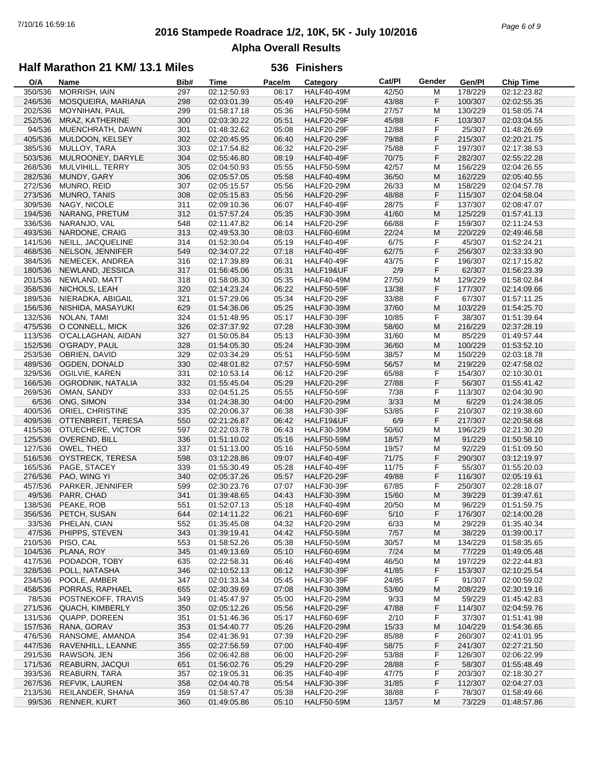## **2016 Stampede Roadrace 1/2, 10K, 5K - July 10/2016** 7/10/16 16:59:16 *Page 6 of 9* **Alpha Overall Results**

### **Half Marathon 21 KM/ 13.1 Miles**

| O/A     | Name                   | Bib# | Time        | Pace/m | Category          | Cat/PI | Gender    | Gen/Pl  | <b>Chip Time</b> |
|---------|------------------------|------|-------------|--------|-------------------|--------|-----------|---------|------------------|
| 350/536 | <b>MORRISH, IAIN</b>   | 297  | 02:12:50.93 | 06:17  | <b>HALF40-49M</b> | 42/50  | М         | 178/229 | 02:12:23.82      |
| 246/536 | MOSQUEIRA, MARIANA     | 298  | 02:03:01.39 | 05:49  | <b>HALF20-29F</b> | 43/88  | F         | 100/307 | 02:02:55.35      |
| 202/536 | MOYNIHAN, PAUL         | 299  | 01:58:17.18 | 05:36  | <b>HALF50-59M</b> | 27/57  | M         | 130/229 | 01:58:05.74      |
| 252/536 | MRAZ, KATHERINE        | 300  | 02:03:30.22 | 05:51  | <b>HALF20-29F</b> | 45/88  | F         | 103/307 | 02:03:04.55      |
| 94/536  | MUENCHRATH, DAWN       | 301  | 01:48:32.62 | 05:08  | <b>HALF20-29F</b> | 12/88  | F         | 25/307  | 01:48:26.69      |
| 405/536 | MULDOON, KELSEY        | 302  | 02:20:45.95 | 06:40  | <b>HALF20-29F</b> | 79/88  | F         | 215/307 | 02:20:21.75      |
| 385/536 | MULLOY, TARA           | 303  | 02:17:54.82 | 06:32  | <b>HALF20-29F</b> | 75/88  | F         | 197/307 | 02:17:38.53      |
| 503/536 | MULROONEY, DARYLE      | 304  | 02:55:46.80 | 08:19  | <b>HALF40-49F</b> | 70/75  | F         | 282/307 | 02:55:22.28      |
| 268/536 | MULVIHILL, TERRY       | 305  | 02:04:50.93 | 05:55  | <b>HALF50-59M</b> | 42/57  | M         | 156/229 | 02:04:26.55      |
| 282/536 | MUNDY, GARY            | 306  | 02:05:57.05 | 05:58  | <b>HALF40-49M</b> | 36/50  | M         | 162/229 | 02:05:40.55      |
| 272/536 | MUNRO, REID            | 307  | 02:05:15.57 | 05:56  | <b>HALF20-29M</b> | 26/33  | M         | 158/229 | 02:04:57.78      |
|         |                        |      |             |        | <b>HALF20-29F</b> |        | F         |         |                  |
| 273/536 | MUNRO, TANIS           | 308  | 02:05:15.83 | 05:56  |                   | 48/88  |           | 115/307 | 02:04:58.04      |
| 309/536 | NAGY, NICOLE           | 311  | 02:09:10.36 | 06:07  | <b>HALF40-49F</b> | 28/75  | F         | 137/307 | 02:08:47.07      |
| 194/536 | NARANG, PRETUM         | 312  | 01:57:57.24 | 05:35  | <b>HALF30-39M</b> | 41/60  | M         | 125/229 | 01:57:41.13      |
| 336/536 | NARANJO, VAL           | 548  | 02:11:47.82 | 06:14  | <b>HALF20-29F</b> | 66/88  | F         | 159/307 | 02:11:24.53      |
| 493/536 | NARDONE, CRAIG         | 313  | 02:49:53.30 | 08:03  | <b>HALF60-69M</b> | 22/24  | M         | 220/229 | 02:49:46.58      |
| 141/536 | NEILL, JACQUELINE      | 314  | 01:52:30.04 | 05:19  | <b>HALF40-49F</b> | 6/75   | F         | 45/307  | 01:52:24.21      |
| 468/536 | NELSON, JENNIFER       | 549  | 02:34:07.22 | 07:18  | <b>HALF40-49F</b> | 62/75  | F         | 256/307 | 02:33:33.90      |
| 384/536 | NEMECEK, ANDREA        | 316  | 02:17:39.89 | 06:31  | <b>HALF40-49F</b> | 43/75  | F         | 196/307 | 02:17:15.82      |
| 180/536 | NEWLAND, JESSICA       | 317  | 01:56:45.06 | 05:31  | HALF19&UF         | 2/9    | F         | 62/307  | 01:56:23.39      |
| 201/536 | NEWLAND, MATT          | 318  | 01:58:08.30 | 05:35  | <b>HALF40-49M</b> | 27/50  | M         | 129/229 | 01:58:02.84      |
| 358/536 | NICHOLS, LEAH          | 320  | 02:14:23.24 | 06:22  | <b>HALF50-59F</b> | 13/38  | F         | 177/307 | 02:14:09.66      |
| 189/536 | NIERADKA, ABIGAIL      | 321  | 01:57:29.06 | 05:34  | <b>HALF20-29F</b> | 33/88  | F         | 67/307  | 01:57:11.25      |
| 156/536 | NISHIDA, MASAYUKI      | 629  | 01:54:36.06 | 05:25  | <b>HALF30-39M</b> | 37/60  | M         | 103/229 | 01:54:25.70      |
| 132/536 | NOLAN, TAMI            | 324  | 01:51:48.95 | 05:17  | <b>HALF30-39F</b> | 10/85  | F         | 38/307  | 01:51:39.64      |
| 475/536 | O CONNELL, MICK        | 326  | 02:37:37.92 | 07:28  | <b>HALF30-39M</b> | 58/60  | M         | 216/229 | 02:37:28.19      |
| 113/536 | O'CALLAGHAN, AIDAN     | 327  | 01:50:05.84 | 05:13  | <b>HALF30-39M</b> | 31/60  | M         | 85/229  | 01:49:57.44      |
| 152/536 | O'GRADY, PAUL          | 328  | 01:54:05.30 | 05:24  | <b>HALF30-39M</b> | 36/60  | M         | 100/229 | 01:53:52.10      |
| 253/536 | OBRIEN, DAVID          | 329  | 02:03:34.29 | 05:51  | <b>HALF50-59M</b> | 38/57  | M         | 150/229 | 02:03:18.78      |
| 489/536 | OGDEN, DONALD          | 330  | 02:48:01.82 | 07:57  | <b>HALF50-59M</b> | 56/57  | M         | 219/229 | 02:47:58.02      |
|         |                        |      |             |        |                   |        |           |         |                  |
| 329/536 | OGILVIE, KAREN         | 331  | 02:10:53.14 | 06:12  | <b>HALF20-29F</b> | 65/88  | F         | 154/307 | 02:10:30.01      |
| 166/536 | OGRODNIK, NATALIA      | 332  | 01:55:45.04 | 05:29  | <b>HALF20-29F</b> | 27/88  | F         | 56/307  | 01:55:41.42      |
| 269/536 | OMAN, SANDY            | 333  | 02:04:51.25 | 05:55  | <b>HALF50-59F</b> | 7/38   | F         | 113/307 | 02:04:30.90      |
| 6/536   | ONG, SIMON             | 334  | 01:24:38.30 | 04:00  | <b>HALF20-29M</b> | 3/33   | M         | 6/229   | 01:24:38.05      |
| 400/536 | ORIEL, CHRISTINE       | 335  | 02:20:06.37 | 06:38  | <b>HALF30-39F</b> | 53/85  | F         | 210/307 | 02:19:38.60      |
| 409/536 | OTTENBREIT, TERESA     | 550  | 02:21:26.87 | 06:42  | HALF19&UF         | 6/9    | F         | 217/307 | 02:20:58.68      |
| 415/536 | OTUECHERE, VICTOR      | 597  | 02:22:03.78 | 06:43  | <b>HALF30-39M</b> | 50/60  | M         | 196/229 | 02:21:30.20      |
| 125/536 | OVEREND, BILL          | 336  | 01:51:10.02 | 05:16  | <b>HALF50-59M</b> | 18/57  | M         | 91/229  | 01:50:58.10      |
| 127/536 | OWEL, THEO             | 337  | 01:51:13.00 | 05:16  | <b>HALF50-59M</b> | 19/57  | M         | 92/229  | 01:51:09.50      |
| 516/536 | OYSTRECK, TERESA       | 598  | 03:12:28.86 | 09:07  | <b>HALF40-49F</b> | 71/75  | F         | 290/307 | 03:12:19.97      |
| 165/536 | PAGE, STACEY           | 339  | 01:55:30.49 | 05:28  | HALF40-49F        | 11/75  | F         | 55/307  | 01:55:20.03      |
| 276/536 | PAO, WING YI           | 340  | 02:05:37.26 | 05:57  | <b>HALF20-29F</b> | 49/88  | F         | 116/307 | 02:05:19.61      |
| 457/536 | PARKER, JENNIFER       | 599  | 02:30:23.76 | 07:07  | <b>HALF30-39F</b> | 67/85  | F         | 250/307 | 02:28:18.07      |
| 49/536  | PARR, CHAD             | 341  | 01:39:48.65 | 04:43  | <b>HALF30-39M</b> | 15/60  | M         | 39/229  | 01:39:47.61      |
| 138/536 | PEAKE, ROB             | 551  | 01:52:07.13 | 05:18  | <b>HALF40-49M</b> | 20/50  | M         | 96/229  | 01:51:59.75      |
| 356/536 | PETCH, SUSAN           | 644  | 02:14:11.22 | 06:21  | <b>HALF60-69F</b> | $5/10$ | F         | 176/307 | 02:14:00.28      |
| 33/536  | PHELAN, CIAN           | 552  | 01:35:45.08 | 04:32  | <b>HALF20-29M</b> | 6/33   | M         | 29/229  | 01:35:40.34      |
| 47/536  | PHIPPS, STEVEN         | 343  | 01:39:19.41 | 04:42  | <b>HALF50-59M</b> | 7/57   | M         | 38/229  | 01:39:00.17      |
| 210/536 | PISO, CAL              | 553  | 01:58:52.26 | 05:38  | <b>HALF50-59M</b> | 30/57  | м         | 134/229 | 01:58:35.65      |
| 104/536 | PLANA, ROY             | 345  | 01:49:13.69 | 05:10  | <b>HALF60-69M</b> | 7/24   | M         | 77/229  | 01:49:05.48      |
| 417/536 | PODADOR, TOBY          | 635  | 02:22:58.31 | 06:46  | <b>HALF40-49M</b> | 46/50  | M         | 197/229 | 02:22:44.83      |
| 328/536 | POLL, NATASHA          | 346  | 02:10:52.13 | 06:12  | <b>HALF30-39F</b> | 41/85  | F         | 153/307 | 02:10:25.54      |
| 234/536 | POOLE, AMBER           | 347  | 02:01:33.34 | 05:45  | <b>HALF30-39F</b> | 24/85  | F         | 91/307  | 02:00:59.02      |
| 458/536 | PORRAS, RAPHAEL        | 655  | 02:30:39.69 | 07:08  | <b>HALF30-39M</b> | 53/60  | M         | 208/229 | 02:30:19.16      |
|         | POSTNEKOFF, TRAVIS     |      |             |        |                   |        |           |         |                  |
| 78/536  |                        | 349  | 01:45:47.97 | 05:00  | <b>HALF20-29M</b> | 9/33   | M         | 59/229  | 01:45:42.83      |
| 271/536 | <b>QUACH, KIMBERLY</b> | 350  | 02:05:12.26 | 05:56  | <b>HALF20-29F</b> | 47/88  | F         | 114/307 | 02:04:59.76      |
| 131/536 | QUAPP, DOREEN          | 351  | 01:51:46.36 | 05:17  | <b>HALF60-69F</b> | 2/10   | F         | 37/307  | 01:51:41.98      |
| 157/536 | RANA, GORAV            | 353  | 01:54:40.77 | 05:26  | <b>HALF20-29M</b> | 15/33  | M         | 104/229 | 01:54:36.65      |
| 476/536 | RANSOME, AMANDA        | 354  | 02:41:36.91 | 07:39  | <b>HALF20-29F</b> | 85/88  | F         | 260/307 | 02:41:01.95      |
| 447/536 | RAVENHILL, LEANNE      | 355  | 02:27:56.59 | 07:00  | HALF40-49F        | 58/75  | F         | 241/307 | 02:27:21.50      |
| 291/536 | RAWSON, JEN            | 356  | 02:06:42.88 | 06:00  | <b>HALF20-29F</b> | 53/88  | F         | 126/307 | 02:06:22.99      |
| 171/536 | REABURN, JACQUI        | 651  | 01:56:02.76 | 05:29  | <b>HALF20-29F</b> | 28/88  | F         | 58/307  | 01:55:48.49      |
| 393/536 | <b>REABURN, TARA</b>   | 357  | 02:19:05.31 | 06:35  | HALF40-49F        | 47/75  | F         | 203/307 | 02:18:30.27      |
| 267/536 | <b>REFVIK, LAUREN</b>  | 358  | 02:04:40.78 | 05:54  | <b>HALF30-39F</b> | 31/85  | F         | 112/307 | 02:04:27.03      |
| 213/536 | REILANDER, SHANA       | 359  | 01:58:57.47 | 05:38  | <b>HALF20-29F</b> | 38/88  | F         | 78/307  | 01:58:49.66      |
| 99/536  | RENNER, KURT           | 360  | 01:49:05.86 | 05:10  | <b>HALF50-59M</b> | 13/57  | ${\sf M}$ | 73/229  | 01:48:57.86      |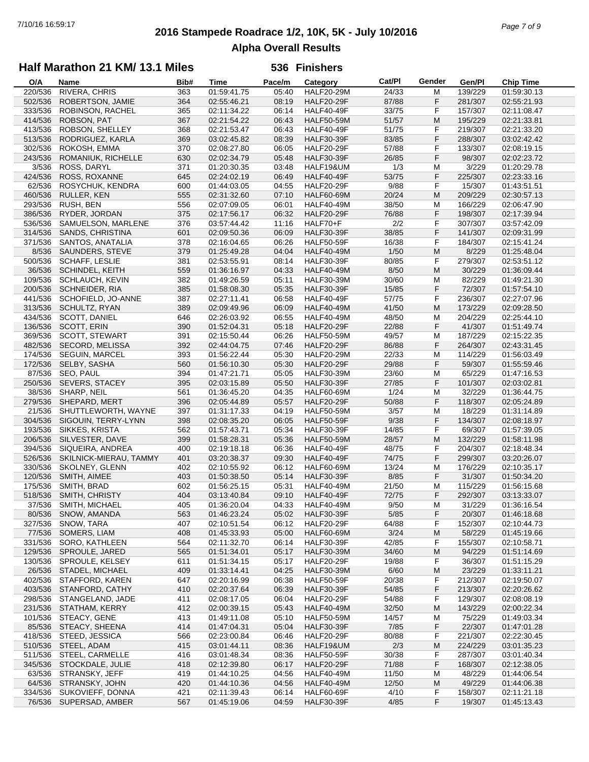# **2016 Stampede Roadrace 1/2, 10K, 5K - July 10/2016** 7/10/16 16:59:17 *Page 7 of 9* **Alpha Overall Results**

## **Half Marathon 21 KM/ 13.1 Miles**

| O/A     | Name                   | Bib# | <b>Time</b> | Pace/m | Category          | Cat/PI | Gender | Gen/Pl  | <b>Chip Time</b> |
|---------|------------------------|------|-------------|--------|-------------------|--------|--------|---------|------------------|
| 220/536 | RIVERA, CHRIS          | 363  | 01:59:41.75 | 05:40  | <b>HALF20-29M</b> | 24/33  | M      | 139/229 | 01:59:30.13      |
| 502/536 | ROBERTSON, JAMIE       | 364  | 02:55:46.21 | 08:19  | <b>HALF20-29F</b> | 87/88  | F      | 281/307 | 02:55:21.93      |
| 333/536 | ROBINSON, RACHEL       | 365  | 02:11:34.22 | 06:14  | <b>HALF40-49F</b> | 33/75  | F      | 157/307 | 02:11:08.47      |
| 414/536 | ROBSON, PAT            | 367  | 02:21:54.22 | 06:43  | <b>HALF50-59M</b> | 51/57  | M      | 195/229 | 02:21:33.81      |
| 413/536 | ROBSON, SHELLEY        | 368  | 02:21:53.47 | 06:43  | HALF40-49F        | 51/75  | F      | 219/307 | 02:21:33.20      |
|         |                        |      |             |        |                   |        | F      |         |                  |
| 513/536 | RODRIGUEZ, KARLA       | 369  | 03:02:45.82 | 08:39  | <b>HALF30-39F</b> | 83/85  |        | 288/307 | 03:02:42.42      |
| 302/536 | ROKOSH, EMMA           | 370  | 02:08:27.80 | 06:05  | <b>HALF20-29F</b> | 57/88  | F      | 133/307 | 02:08:19.15      |
| 243/536 | ROMANIUK, RICHELLE     | 630  | 02:02:34.79 | 05:48  | <b>HALF30-39F</b> | 26/85  | F      | 98/307  | 02:02:23.72      |
| 3/536   | ROSS, DARYL            | 371  | 01:20:30.35 | 03:48  | HALF19&UM         | 1/3    | M      | 3/229   | 01:20:29.78      |
| 424/536 | ROSS, ROXANNE          | 645  | 02:24:02.19 | 06:49  | <b>HALF40-49F</b> | 53/75  | F      | 225/307 | 02:23:33.16      |
| 62/536  | ROSYCHUK, KENDRA       | 600  | 01:44:03.05 | 04:55  | <b>HALF20-29F</b> | 9/88   | F      | 15/307  | 01:43:51.51      |
| 460/536 | RULLER, KEN            | 555  | 02:31:32.60 | 07:10  | <b>HALF60-69M</b> | 20/24  | M      | 209/229 | 02:30:57.13      |
| 293/536 | <b>RUSH, BEN</b>       | 556  | 02:07:09.05 | 06:01  | <b>HALF40-49M</b> | 38/50  | M      | 166/229 | 02:06:47.90      |
| 386/536 | RYDER, JORDAN          | 375  | 02:17:56.17 | 06:32  | <b>HALF20-29F</b> | 76/88  | F      | 198/307 | 02:17:39.94      |
|         |                        |      | 03:57:44.42 | 11:16  |                   | 2/2    | F      | 307/307 |                  |
| 536/536 | SAMUELSON, MARLENE     | 376  |             |        | HALF70+F          |        |        |         | 03:57:42.09      |
| 314/536 | SANDS, CHRISTINA       | 601  | 02:09:50.36 | 06:09  | <b>HALF30-39F</b> | 38/85  | F      | 141/307 | 02:09:31.99      |
| 371/536 | SANTOS, ANATALIA       | 378  | 02:16:04.65 | 06:26  | <b>HALF50-59F</b> | 16/38  | F      | 184/307 | 02:15:41.24      |
| 8/536   | SAUNDERS, STEVE        | 379  | 01:25:49.28 | 04:04  | <b>HALF40-49M</b> | 1/50   | M      | 8/229   | 01:25:48.04      |
| 500/536 | SCHAFF, LESLIE         | 381  | 02:53:55.91 | 08:14  | <b>HALF30-39F</b> | 80/85  | F      | 279/307 | 02:53:51.12      |
| 36/536  | SCHINDEL, KEITH        | 559  | 01:36:16.97 | 04:33  | <b>HALF40-49M</b> | 8/50   | M      | 30/229  | 01:36:09.44      |
| 109/536 | <b>SCHLAUCH, KEVIN</b> | 382  | 01:49:26.59 | 05:11  | <b>HALF30-39M</b> | 30/60  | M      | 82/229  | 01:49:21.30      |
| 200/536 | <b>SCHNEIDER, RIA</b>  | 385  | 01:58:08.30 | 05:35  | <b>HALF30-39F</b> | 15/85  | F      | 72/307  | 01:57:54.10      |
| 441/536 | SCHOFIELD, JO-ANNE     | 387  | 02:27:11.41 | 06:58  | HALF40-49F        | 57/75  | F      | 236/307 | 02:27:07.96      |
| 313/536 | <b>SCHULTZ, RYAN</b>   | 389  | 02:09:49.96 | 06:09  | <b>HALF40-49M</b> | 41/50  | M      | 173/229 | 02:09:28.50      |
|         |                        |      |             |        |                   |        |        |         |                  |
| 434/536 | SCOTT, DANIEL          | 646  | 02:26:03.92 | 06:55  | <b>HALF40-49M</b> | 48/50  | M      | 204/229 | 02:25:44.10      |
| 136/536 | SCOTT, ERIN            | 390  | 01:52:04.31 | 05:18  | <b>HALF20-29F</b> | 22/88  | F      | 41/307  | 01:51:49.74      |
| 369/536 | SCOTT, STEWART         | 391  | 02:15:50.44 | 06:26  | <b>HALF50-59M</b> | 49/57  | M      | 187/229 | 02:15:22.35      |
| 482/536 | SECORD, MELISSA        | 392  | 02:44:04.75 | 07:46  | <b>HALF20-29F</b> | 86/88  | F      | 264/307 | 02:43:31.45      |
| 174/536 | <b>SEGUIN, MARCEL</b>  | 393  | 01:56:22.44 | 05:30  | <b>HALF20-29M</b> | 22/33  | M      | 114/229 | 01:56:03.49      |
| 172/536 | SELBY, SASHA           | 560  | 01:56:10.30 | 05:30  | <b>HALF20-29F</b> | 29/88  | F      | 59/307  | 01:55:59.46      |
| 87/536  | SEO, PAUL              | 394  | 01:47:21.71 | 05:05  | <b>HALF30-39M</b> | 23/60  | M      | 65/229  | 01:47:16.53      |
| 250/536 | SEVERS, STACEY         | 395  | 02:03:15.89 | 05:50  | <b>HALF30-39F</b> | 27/85  | F      | 101/307 | 02:03:02.81      |
| 38/536  | SHARP, NEIL            | 561  | 01:36:45.20 | 04:35  | <b>HALF60-69M</b> | 1/24   | M      | 32/229  | 01:36:44.75      |
| 279/536 | SHEPARD, MERT          | 396  | 02:05:44.89 | 05:57  | <b>HALF20-29F</b> | 50/88  | F      | 118/307 | 02:05:24.89      |
| 21/536  | SHUTTLEWORTH, WAYNE    | 397  | 01:31:17.33 | 04:19  | <b>HALF50-59M</b> | 3/57   | M      | 18/229  | 01:31:14.89      |
| 304/536 | SIGOUIN, TERRY-LYNN    | 398  | 02:08:35.20 | 06:05  | <b>HALF50-59F</b> | 9/38   | F      | 134/307 | 02:08:18.97      |
| 193/536 | SIKKES, KRISTA         | 562  | 01:57:43.71 | 05:34  | <b>HALF30-39F</b> | 14/85  | F      | 69/307  | 01:57:39.05      |
|         |                        |      |             |        |                   |        |        |         |                  |
| 206/536 | SILVESTER, DAVE        | 399  | 01:58:28.31 | 05:36  | <b>HALF50-59M</b> | 28/57  | M      | 132/229 | 01:58:11.98      |
| 394/536 | SIQUEIRA, ANDREA       | 400  | 02:19:18.18 | 06:36  | HALF40-49F        | 48/75  | F      | 204/307 | 02:18:48.34      |
| 526/536 | SKILNICK-MIERAU, TAMMY | 401  | 03:20:38.37 | 09:30  | HALF40-49F        | 74/75  | F      | 299/307 | 03:20:26.07      |
| 330/536 | SKOLNEY, GLENN         | 402  | 02:10:55.92 | 06:12  | <b>HALF60-69M</b> | 13/24  | М      | 176/229 | 02:10:35.17      |
| 120/536 | SMITH, AIMEE           | 403  | 01:50:38.50 | 05:14  | <b>HALF30-39F</b> | 8/85   | F      | 31/307  | 01:50:34.20      |
| 175/536 | SMITH, BRAD            | 602  | 01:56:25.15 | 05:31  | <b>HALF40-49M</b> | 21/50  | M      | 115/229 | 01:56:15.68      |
| 518/536 | SMITH, CHRISTY         | 404  | 03:13:40.84 | 09:10  | HALF40-49F        | 72/75  | F      | 292/307 | 03:13:33.07      |
| 37/536  | SMITH, MICHAEL         | 405  | 01:36:20.04 | 04:33  | <b>HALF40-49M</b> | 9/50   | M      | 31/229  | 01:36:16.54      |
| 80/536  | SNOW, AMANDA           | 563  | 01:46:23.24 | 05:02  | <b>HALF30-39F</b> | 5/85   | F      | 20/307  | 01:46:18.68      |
| 327/536 | SNOW, TARA             | 407  | 02:10:51.54 | 06:12  | <b>HALF20-29F</b> | 64/88  | F      | 152/307 | 02:10:44.73      |
| 77/536  | SOMERS, LIAM           | 408  | 01:45:33.93 | 05:00  | <b>HALF60-69M</b> | 3/24   | M      | 58/229  | 01:45:19.66      |
| 331/536 | SORO, KATHLEEN         |      | 02:11:32.70 |        | <b>HALF30-39F</b> | 42/85  | F      | 155/307 | 02:10:58.71      |
|         |                        | 564  |             | 06:14  |                   |        |        |         |                  |
| 129/536 | SPROULE, JARED         | 565  | 01:51:34.01 | 05:17  | <b>HALF30-39M</b> | 34/60  | M      | 94/229  | 01:51:14.69      |
| 130/536 | SPROULE, KELSEY        | 611  | 01:51:34.15 | 05:17  | <b>HALF20-29F</b> | 19/88  | F      | 36/307  | 01:51:15.29      |
| 26/536  | STADEL, MICHAEL        | 409  | 01:33:14.41 | 04:25  | <b>HALF30-39M</b> | 6/60   | M      | 23/229  | 01:33:11.21      |
| 402/536 | STAFFORD, KAREN        | 647  | 02:20:16.99 | 06:38  | <b>HALF50-59F</b> | 20/38  | F      | 212/307 | 02:19:50.07      |
| 403/536 | STANFORD, CATHY        | 410  | 02:20:37.64 | 06:39  | <b>HALF30-39F</b> | 54/85  | F      | 213/307 | 02:20:26.62      |
| 298/536 | STANGELAND, JADE       | 411  | 02:08:17.05 | 06:04  | <b>HALF20-29F</b> | 54/88  | F      | 129/307 | 02:08:08.19      |
| 231/536 | STATHAM, KERRY         | 412  | 02:00:39.15 | 05:43  | <b>HALF40-49M</b> | 32/50  | M      | 143/229 | 02:00:22.34      |
| 101/536 | STEACY, GENE           | 413  | 01:49:11.08 | 05:10  | <b>HALF50-59M</b> | 14/57  | M      | 75/229  | 01:49:03.34      |
| 85/536  | STEACY, SHEENA         | 414  | 01:47:04.31 | 05:04  | <b>HALF30-39F</b> | 7/85   | F      | 22/307  | 01:47:01.28      |
| 418/536 | STEED, JESSICA         | 566  | 02:23:00.84 | 06:46  | <b>HALF20-29F</b> | 80/88  | F      | 221/307 | 02:22:30.45      |
| 510/536 | STEEL, ADAM            | 415  | 03:01:44.11 | 08:36  | HALF19&UM         | 2/3    | M      | 224/229 | 03:01:35.23      |
|         |                        |      |             |        |                   |        |        |         |                  |
| 511/536 | STEEL, CARMELLE        | 416  | 03:01:48.34 | 08:36  | <b>HALF50-59F</b> | 30/38  | F      | 287/307 | 03:01:40.34      |
| 345/536 | STOCKDALE, JULIE       | 418  | 02:12:39.80 | 06:17  | <b>HALF20-29F</b> | 71/88  | F      | 168/307 | 02:12:38.05      |
| 63/536  | STRANSKY, JEFF         | 419  | 01:44:10.25 | 04:56  | <b>HALF40-49M</b> | 11/50  | M      | 48/229  | 01:44:06.54      |
| 64/536  | STRANSKY, JOHN         | 420  | 01:44:10.36 | 04:56  | <b>HALF40-49M</b> | 12/50  | M      | 49/229  | 01:44:06.38      |
| 334/536 | SUKOVIEFF, DONNA       | 421  | 02:11:39.43 | 06:14  | <b>HALF60-69F</b> | 4/10   | F      | 158/307 | 02:11:21.18      |
| 76/536  | SUPERSAD, AMBER        | 567  | 01:45:19.06 | 04:59  | <b>HALF30-39F</b> | 4/85   | F      | 19/307  | 01:45:13.43      |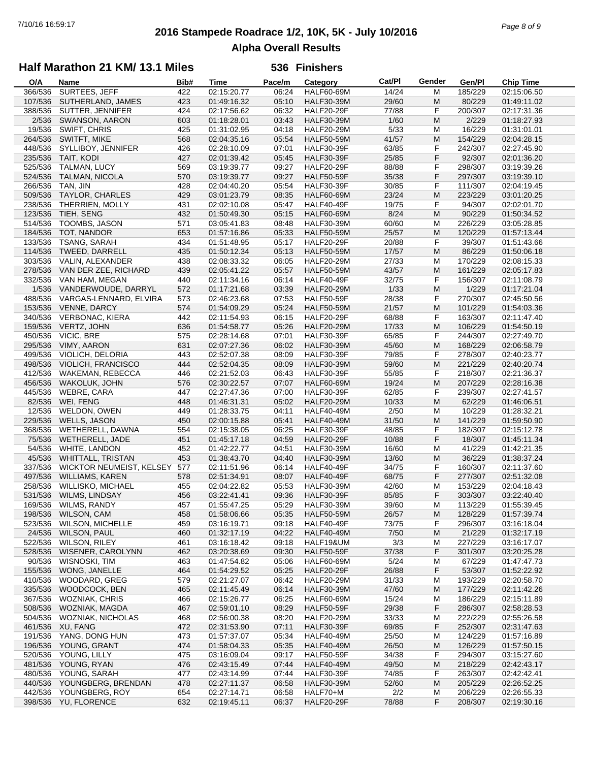## **2016 Stampede Roadrace 1/2, 10K, 5K - July 10/2016** 7/10/16 16:59:17 *Page 8 of 9* **Alpha Overall Results**

### **Half Marathon 21 KM/ 13.1 Miles**

| O/A     | Name                      | Bib# | <b>Time</b> | Pace/m | Category          | Cat/PI | Gender | Gen/Pl  | <b>Chip Time</b> |
|---------|---------------------------|------|-------------|--------|-------------------|--------|--------|---------|------------------|
| 366/536 | SURTEES, JEFF             | 422  | 02:15:20.77 | 06:24  | <b>HALF60-69M</b> | 14/24  | M      | 185/229 | 02:15:06.50      |
| 107/536 | SUTHERLAND, JAMES         | 423  | 01:49:16.32 | 05:10  | <b>HALF30-39M</b> | 29/60  | M      | 80/229  | 01:49:11.02      |
| 388/536 | SUTTER, JENNIFER          | 424  | 02:17:56.62 | 06:32  | <b>HALF20-29F</b> | 77/88  | F      | 200/307 | 02:17:31.36      |
| 2/536   | SWANSON, AARON            | 603  | 01:18:28.01 | 03:43  | <b>HALF30-39M</b> | 1/60   | M      | 2/229   | 01:18:27.93      |
| 19/536  | SWIFT, CHRIS              | 425  | 01:31:02.95 | 04:18  | <b>HALF20-29M</b> | 5/33   | M      | 16/229  | 01:31:01.01      |
| 264/536 | SWITFT, MIKE              | 568  | 02:04:35.16 | 05:54  | <b>HALF50-59M</b> | 41/57  | M      | 154/229 | 02:04:28.15      |
| 448/536 | SYLLIBOY, JENNIFER        | 426  | 02:28:10.09 | 07:01  | <b>HALF30-39F</b> | 63/85  | F      | 242/307 | 02:27:45.90      |
| 235/536 | TAIT, KODI                | 427  | 02:01:39.42 | 05:45  | <b>HALF30-39F</b> | 25/85  | F      | 92/307  | 02:01:36.20      |
| 525/536 | TALMAN, LUCY              | 569  | 03:19:39.77 | 09:27  | <b>HALF20-29F</b> | 88/88  | F      | 298/307 | 03:19:39.26      |
|         | TALMAN, NICOLA            |      |             |        |                   |        | F      |         |                  |
| 524/536 |                           | 570  | 03:19:39.77 | 09:27  | <b>HALF50-59F</b> | 35/38  |        | 297/307 | 03:19:39.10      |
| 266/536 | TAN, JIN                  | 428  | 02:04:40.20 | 05:54  | <b>HALF30-39F</b> | 30/85  | F      | 111/307 | 02:04:19.45      |
| 509/536 | <b>TAYLOR, CHARLES</b>    | 429  | 03:01:23.79 | 08:35  | <b>HALF60-69M</b> | 23/24  | M      | 223/229 | 03:01:20.25      |
| 238/536 | THERRIEN, MOLLY           | 431  | 02:02:10.08 | 05:47  | <b>HALF40-49F</b> | 19/75  | F      | 94/307  | 02:02:01.70      |
| 123/536 | TIEH, SENG                | 432  | 01:50:49.30 | 05:15  | <b>HALF60-69M</b> | 8/24   | M      | 90/229  | 01:50:34.52      |
| 514/536 | TOOMBS, JASON             | 571  | 03:05:41.83 | 08:48  | <b>HALF30-39M</b> | 60/60  | M      | 226/229 | 03:05:28.85      |
| 184/536 | TOT, NANDOR               | 653  | 01:57:16.86 | 05:33  | <b>HALF50-59M</b> | 25/57  | M      | 120/229 | 01:57:13.44      |
| 133/536 | TSANG, SARAH              | 434  | 01:51:48.95 | 05:17  | <b>HALF20-29F</b> | 20/88  | F      | 39/307  | 01:51:43.66      |
| 114/536 | TWEED, DARRELL            | 435  | 01:50:12.34 | 05:13  | <b>HALF50-59M</b> | 17/57  | M      | 86/229  | 01:50:06.18      |
| 303/536 | VALIN, ALEXANDER          | 438  | 02:08:33.32 | 06:05  | <b>HALF20-29M</b> | 27/33  | M      | 170/229 | 02:08:15.33      |
| 278/536 | VAN DER ZEE, RICHARD      | 439  | 02:05:41.22 | 05:57  | <b>HALF50-59M</b> | 43/57  | M      | 161/229 | 02:05:17.83      |
| 332/536 | VAN HAM, MEGAN            | 440  | 02:11:34.16 | 06:14  | <b>HALF40-49F</b> | 32/75  | F      | 156/307 | 02:11:08.79      |
| 1/536   | VANDERWOUDE, DARRYL       | 572  | 01:17:21.68 | 03:39  | <b>HALF20-29M</b> | 1/33   | M      | 1/229   | 01:17:21.04      |
| 488/536 | VARGAS-LENNARD, ELVIRA    | 573  | 02:46:23.68 | 07:53  | <b>HALF50-59F</b> | 28/38  | F      | 270/307 | 02:45:50.56      |
| 153/536 | <b>VENNE, DARCY</b>       | 574  | 01:54:09.29 | 05:24  | <b>HALF50-59M</b> | 21/57  | M      | 101/229 | 01:54:03.36      |
|         |                           |      |             |        |                   |        |        |         |                  |
| 340/536 | <b>VERBONAC, KIERA</b>    | 442  | 02:11:54.93 | 06:15  | <b>HALF20-29F</b> | 68/88  | F      | 163/307 | 02:11:47.40      |
| 159/536 | VERTZ, JOHN               | 636  | 01:54:58.77 | 05:26  | <b>HALF20-29M</b> | 17/33  | M      | 106/229 | 01:54:50.19      |
| 450/536 | VICIC, BRE                | 575  | 02:28:14.68 | 07:01  | <b>HALF30-39F</b> | 65/85  | F      | 244/307 | 02:27:49.70      |
| 295/536 | VIMY, AARON               | 631  | 02:07:27.36 | 06:02  | <b>HALF30-39M</b> | 45/60  | M      | 168/229 | 02:06:58.79      |
| 499/536 | VIOLICH, DELORIA          | 443  | 02:52:07.38 | 08:09  | <b>HALF30-39F</b> | 79/85  | F      | 278/307 | 02:40:23.77      |
| 498/536 | <b>VIOLICH, FRANCISCO</b> | 444  | 02:52:04.35 | 08:09  | <b>HALF30-39M</b> | 59/60  | M      | 221/229 | 02:40:20.74      |
| 412/536 | WAKEMAN, REBECCA          | 446  | 02:21:52.03 | 06:43  | <b>HALF30-39F</b> | 55/85  | F      | 218/307 | 02:21:36.37      |
| 456/536 | WAKOLUK, JOHN             | 576  | 02:30:22.57 | 07:07  | <b>HALF60-69M</b> | 19/24  | M      | 207/229 | 02:28:16.38      |
| 445/536 | WEBRE, CARA               | 447  | 02:27:47.36 | 07:00  | <b>HALF30-39F</b> | 62/85  | F      | 239/307 | 02:27:41.57      |
| 82/536  | WEI, FENG                 | 448  | 01:46:31.31 | 05:02  | <b>HALF20-29M</b> | 10/33  | M      | 62/229  | 01:46:06.51      |
| 12/536  | WELDON, OWEN              | 449  | 01:28:33.75 | 04:11  | <b>HALF40-49M</b> | 2/50   | M      | 10/229  | 01:28:32.21      |
| 229/536 | <b>WELLS, JASON</b>       | 450  | 02:00:15.88 | 05:41  | <b>HALF40-49M</b> | 31/50  | M      | 141/229 | 01:59:50.90      |
| 368/536 | WETHERELL, DAWNA          | 554  | 02:15:38.05 | 06:25  | <b>HALF30-39F</b> | 48/85  | F      | 182/307 | 02:15:12.78      |
| 75/536  | WETHERELL, JADE           | 451  | 01:45:17.18 | 04:59  | <b>HALF20-29F</b> | 10/88  | F      | 18/307  | 01:45:11.34      |
| 54/536  | WHITE, LANDON             | 452  | 01:42:22.77 | 04:51  | <b>HALF30-39M</b> | 16/60  | М      | 41/229  | 01:42:21.35      |
| 45/536  | <b>WHITTALL, TRISTAN</b>  | 453  | 01:38:43.70 | 04:40  | <b>HALF30-39M</b> | 13/60  | M      | 36/229  | 01:38:37.24      |
| 337/536 | WICKTOR NEUMEIST, KELSEY  | 577  | 02:11:51.96 | 06:14  | <b>HALF40-49F</b> | 34/75  | F      | 160/307 | 02:11:37.60      |
|         |                           |      |             |        |                   |        | F      |         |                  |
| 497/536 | <b>WILLIAMS, KAREN</b>    | 578  | 02:51:34.91 | 08:07  | <b>HALF40-49F</b> | 68/75  |        | 277/307 | 02:51:32.08      |
| 258/536 | <b>WILLISKO, MICHAEL</b>  | 455  | 02:04:22.82 | 05:53  | <b>HALF30-39M</b> | 42/60  | M      | 153/229 | 02:04:18.43      |
| 531/536 | <b>WILMS, LINDSAY</b>     | 456  | 03:22:41.41 | 09:36  | <b>HALF30-39F</b> | 85/85  | F      | 303/307 | 03:22:40.40      |
| 169/536 | <b>WILMS, RANDY</b>       | 457  | 01:55:47.25 | 05:29  | <b>HALF30-39M</b> | 39/60  | M      | 113/229 | 01:55:39.45      |
|         | 198/536 WILSON, CAM       | 458  | 01:58:06.66 | 05:35  | <b>HALF50-59M</b> | 26/57  | M      | 128/229 | 01:57:39.74      |
| 523/536 | <b>WILSON, MICHELLE</b>   | 459  | 03:16:19.71 | 09:18  | HALF40-49F        | 73/75  | F      | 296/307 | 03:16:18.04      |
| 24/536  | WILSON, PAUL              | 460  | 01:32:17.19 | 04:22  | <b>HALF40-49M</b> | 7/50   | M      | 21/229  | 01:32:17.19      |
| 522/536 | <b>WILSON, RILEY</b>      | 461  | 03:16:18.42 | 09:18  | HALF19&UM         | 3/3    | M      | 227/229 | 03:16:17.07      |
| 528/536 | WISENER, CAROLYNN         | 462  | 03:20:38.69 | 09:30  | <b>HALF50-59F</b> | 37/38  | F      | 301/307 | 03:20:25.28      |
| 90/536  | <b>WISNOSKI, TIM</b>      | 463  | 01:47:54.82 | 05:06  | <b>HALF60-69M</b> | 5/24   | M      | 67/229  | 01:47:47.73      |
| 155/536 | WONG, JANELLE             | 464  | 01:54:29.52 | 05:25  | <b>HALF20-29F</b> | 26/88  | F      | 53/307  | 01:52:22.92      |
| 410/536 | WOODARD, GREG             | 579  | 02:21:27.07 | 06:42  | <b>HALF20-29M</b> | 31/33  | M      | 193/229 | 02:20:58.70      |
| 335/536 | WOODCOCK, BEN             | 465  | 02:11:45.49 | 06:14  | <b>HALF30-39M</b> | 47/60  | M      | 177/229 | 02:11:42.26      |
| 367/536 | <b>WOZNIAK, CHRIS</b>     | 466  | 02:15:26.77 | 06:25  | <b>HALF60-69M</b> | 15/24  | M      | 186/229 | 02:15:11.89      |
| 508/536 | WOZNIAK, MAGDA            | 467  | 02:59:01.10 | 08:29  | <b>HALF50-59F</b> | 29/38  | F      | 286/307 | 02:58:28.53      |
| 504/536 | <b>WOZNIAK, NICHOLAS</b>  | 468  | 02:56:00.38 | 08:20  | <b>HALF20-29M</b> | 33/33  | M      | 222/229 | 02:55:26.58      |
| 461/536 | XU, FANG                  | 472  | 02:31:53.90 | 07:11  | <b>HALF30-39F</b> | 69/85  | F      | 252/307 | 02:31:47.63      |
| 191/536 | YANG, DONG HUN            | 473  | 01:57:37.07 | 05:34  | <b>HALF40-49M</b> | 25/50  |        | 124/229 |                  |
| 196/536 |                           |      |             |        |                   |        | M      |         | 01:57:16.89      |
|         | YOUNG, GRANT              | 474  | 01:58:04.33 | 05:35  | <b>HALF40-49M</b> | 26/50  | M      | 126/229 | 01:57:50.15      |
| 520/536 | YOUNG, LILLY              | 475  | 03:16:09.04 | 09:17  | <b>HALF50-59F</b> | 34/38  | F      | 294/307 | 03:15:27.60      |
| 481/536 | YOUNG, RYAN               | 476  | 02:43:15.49 | 07:44  | <b>HALF40-49M</b> | 49/50  | M      | 218/229 | 02:42:43.17      |
| 480/536 | YOUNG, SARAH              | 477  | 02:43:14.99 | 07:44  | <b>HALF30-39F</b> | 74/85  | F      | 263/307 | 02:42:42.41      |
| 440/536 | YOUNGBERG, BRENDAN        | 478  | 02:27:11.37 | 06:58  | <b>HALF30-39M</b> | 52/60  | M      | 205/229 | 02:26:52.25      |
| 442/536 | YOUNGBERG, ROY            | 654  | 02:27:14.71 | 06:58  | HALF70+M          | 2/2    | M      | 206/229 | 02:26:55.33      |
|         | 398/536 YU, FLORENCE      | 632  | 02:19:45.11 | 06:37  | HALF20-29F        | 78/88  | F      | 208/307 | 02:19:30.16      |